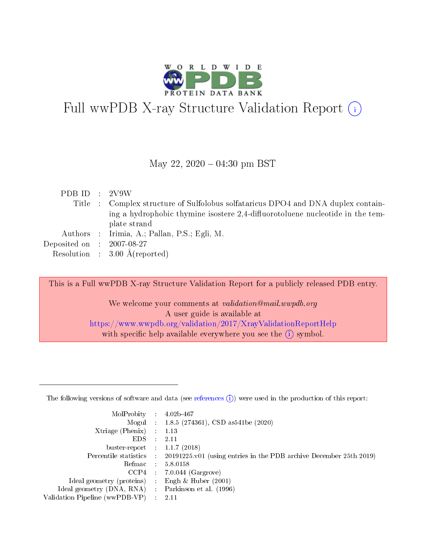

# Full wwPDB X-ray Structure Validation Report  $(i)$

#### May 22,  $2020 - 04:30$  pm BST

| PDB ID : $2V9W$             |                                                                                   |
|-----------------------------|-----------------------------------------------------------------------------------|
|                             | Title : Complex structure of Sulfolobus solfataricus DPO4 and DNA duplex contain- |
|                             | ing a hydrophobic thymine isostere 2.4-diffuorotoluene nucleotide in the tem-     |
|                             | plate strand                                                                      |
|                             | Authors : Irimia, A.; Pallan, P.S.; Egli, M.                                      |
| Deposited on : $2007-08-27$ |                                                                                   |
|                             | Resolution : $3.00 \text{ Å}$ (reported)                                          |

This is a Full wwPDB X-ray Structure Validation Report for a publicly released PDB entry.

We welcome your comments at validation@mail.wwpdb.org A user guide is available at <https://www.wwpdb.org/validation/2017/XrayValidationReportHelp> with specific help available everywhere you see the  $(i)$  symbol.

The following versions of software and data (see [references](https://www.wwpdb.org/validation/2017/XrayValidationReportHelp#references)  $(1)$ ) were used in the production of this report:

| MolProbity :                   |               | $4.02b - 467$                                                               |
|--------------------------------|---------------|-----------------------------------------------------------------------------|
|                                |               | Mogul : $1.8.5$ (274361), CSD as 541be (2020)                               |
| Xtriage (Phenix)               | $\mathcal{L}$ | 1.13                                                                        |
| EDS.                           |               | 2.11                                                                        |
| buster-report : $1.1.7$ (2018) |               |                                                                             |
| Percentile statistics :        |               | $20191225 \text{v}01$ (using entries in the PDB archive December 25th 2019) |
| Refmac :                       |               | 5.8.0158                                                                    |
| CCP4                           |               | $7.0.044$ (Gargrove)                                                        |
| Ideal geometry (proteins) :    |               | Engh $\&$ Huber (2001)                                                      |
| Ideal geometry (DNA, RNA) :    |               | Parkinson et al. (1996)                                                     |
| Validation Pipeline (wwPDB-VP) | $\mathcal{L}$ | 2.11                                                                        |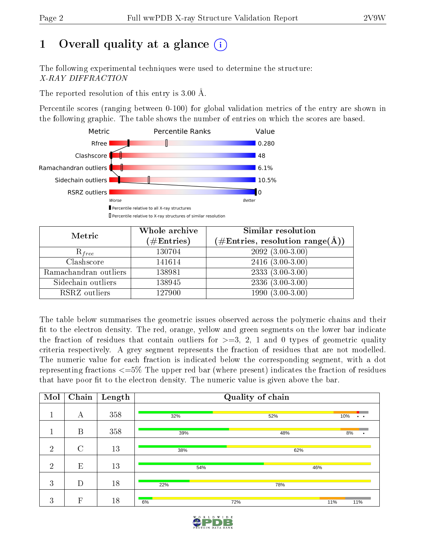# 1 [O](https://www.wwpdb.org/validation/2017/XrayValidationReportHelp#overall_quality)verall quality at a glance  $(i)$

The following experimental techniques were used to determine the structure: X-RAY DIFFRACTION

The reported resolution of this entry is 3.00 Å.

Percentile scores (ranging between 0-100) for global validation metrics of the entry are shown in the following graphic. The table shows the number of entries on which the scores are based.



| Metric                | Whole archive        | Similar resolution                                        |
|-----------------------|----------------------|-----------------------------------------------------------|
|                       | $(\#\text{Entries})$ | $(\#\text{Entries}, \text{resolution range}(\text{\AA}))$ |
| $R_{free}$            | 130704               | $2092(3.00-3.00)$                                         |
| Clashscore            | 141614               | $2416(3.00-3.00)$                                         |
| Ramachandran outliers | 138981               | $2333(3.00-3.00)$                                         |
| Sidechain outliers    | 138945               | $2336(3.00-3.00)$                                         |
| RSRZ outliers         | 127900               | $1990(3.00-3.00)$                                         |

The table below summarises the geometric issues observed across the polymeric chains and their fit to the electron density. The red, orange, yellow and green segments on the lower bar indicate the fraction of residues that contain outliers for  $\geq=3$ , 2, 1 and 0 types of geometric quality criteria respectively. A grey segment represents the fraction of residues that are not modelled. The numeric value for each fraction is indicated below the corresponding segment, with a dot representing fractions  $\epsilon=5\%$  The upper red bar (where present) indicates the fraction of residues that have poor fit to the electron density. The numeric value is given above the bar.

| Mol            | $\overline{\text{Chain}}$ | Length |     | Quality of chain |                      |
|----------------|---------------------------|--------|-----|------------------|----------------------|
|                | А                         | 358    | 32% | 52%              | 10%<br>$\sim$ $\sim$ |
|                | B                         | 358    | 39% | 48%              | 8%<br>٠              |
| $\overline{2}$ | $\rm C$                   | 13     | 38% | 62%              |                      |
| $\overline{2}$ | E                         | 13     | 54% |                  | 46%                  |
| 3              | D                         | 18     | 22% | 78%              |                      |
| 3              | F                         | 18     | 6%  | 72%              | 11%<br>11%           |

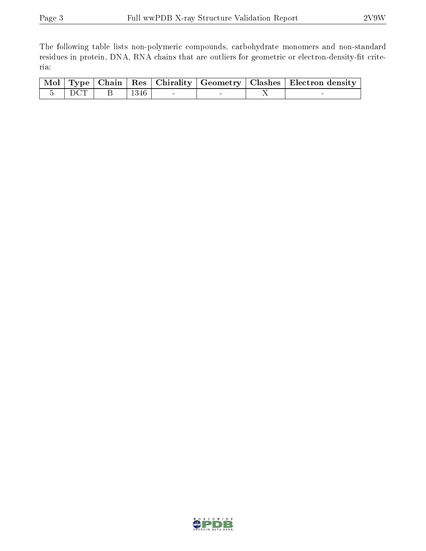The following table lists non-polymeric compounds, carbohydrate monomers and non-standard residues in protein, DNA, RNA chains that are outliers for geometric or electron-density-fit criteria:

|  |  |                                              |  | Mol   Type   Chain   Res   Chirality   Geometry   Clashes   Electron density |
|--|--|----------------------------------------------|--|------------------------------------------------------------------------------|
|  |  | $\overline{5}$ DCT B   1346   $\overline{5}$ |  |                                                                              |

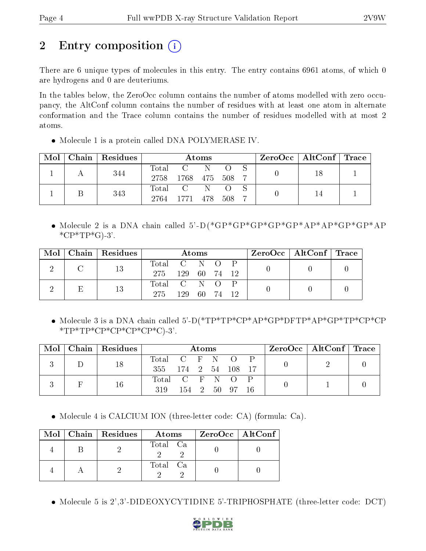# 2 Entry composition (i)

There are 6 unique types of molecules in this entry. The entry contains 6961 atoms, of which 0 are hydrogens and 0 are deuteriums.

In the tables below, the ZeroOcc column contains the number of atoms modelled with zero occupancy, the AltConf column contains the number of residues with at least one atom in alternate conformation and the Trace column contains the number of residues modelled with at most 2 atoms.

• Molecule 1 is a protein called DNA POLYMERASE IV.

| Mol |  | Chain Residues |                  | <b>Atoms</b>         |  |  |  | $\text{ZeroOcc} \mid \text{AltConf} \mid \text{Trace}$ |  |
|-----|--|----------------|------------------|----------------------|--|--|--|--------------------------------------------------------|--|
|     |  | 344            | $\mathrm{Total}$ | $\Box$ $\Box$ $\Box$ |  |  |  |                                                        |  |
|     |  | 2758           | 1768 475 508     |                      |  |  |  |                                                        |  |
|     |  | 343            | Total C          |                      |  |  |  |                                                        |  |
|     |  |                | 2764             | - 1771 478 508       |  |  |  |                                                        |  |

 Molecule 2 is a DNA chain called 5'-D(\*GP\*GP\*GP\*GP\*GP\*AP\*AP\*GP\*GP\*AP  $^*CP^*TP^*G$ -3'.

| Mol | Chain   Residues | Atoms       |     |      |           |       | $\text{ZeroOcc}$   AltConf   Trace |  |
|-----|------------------|-------------|-----|------|-----------|-------|------------------------------------|--|
|     | 13               | Total C N   |     |      | $\bigcap$ |       |                                    |  |
|     |                  | 275         | 129 | - 60 | - 74      | $-12$ |                                    |  |
|     | 13               | Total C N O |     |      |           |       |                                    |  |
|     |                  | 275         | 129 | - 60 | - 74      |       |                                    |  |

 Molecule 3 is a DNA chain called 5'-D(\*TP\*TP\*CP\*AP\*GP\*DFTP\*AP\*GP\*TP\*CP\*CP  $*TP*TP*CP*CP*CP*CP*CP*C$ 

| $\bf{Mol}$ $\parallel$ |  | Chain   Residues |                     | Atoms |  |  |                |  |  | $\text{ZeroOcc}$   AltConf   Trace |  |
|------------------------|--|------------------|---------------------|-------|--|--|----------------|--|--|------------------------------------|--|
|                        |  |                  | Total C F N O       |       |  |  |                |  |  |                                    |  |
|                        |  |                  | 355 174 2 54 108 17 |       |  |  |                |  |  |                                    |  |
|                        |  | 16               | Total C F N O       |       |  |  |                |  |  |                                    |  |
|                        |  |                  | 319                 |       |  |  | 154 2 50 97 16 |  |  |                                    |  |

Molecule 4 is CALCIUM ION (three-letter code: CA) (formula: Ca).

|  | Mol   Chain   Residues | Atoms    | ZeroOcc   AltConf |
|--|------------------------|----------|-------------------|
|  |                        | Total Ca |                   |
|  |                        | Total Ca |                   |

Molecule 5 is 2',3'-DIDEOXYCYTIDINE 5'-TRIPHOSPHATE (three-letter code: DCT)

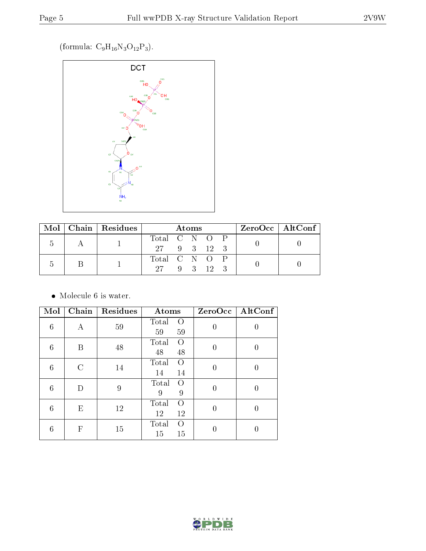(formula:  $C_9H_{16}N_3O_{12}P_3$ ).



|  |  | Mol   Chain   Residues | Atoms         |  |  |  | ZeroOcc   AltConf |  |  |  |
|--|--|------------------------|---------------|--|--|--|-------------------|--|--|--|
|  |  |                        | Total C N O P |  |  |  |                   |  |  |  |
|  |  | 27 9 3 12 3            |               |  |  |  |                   |  |  |  |
|  |  |                        | Total C N O P |  |  |  |                   |  |  |  |
|  |  |                        | 27 9 3 12 3   |  |  |  |                   |  |  |  |

 $\bullet\,$  Molecule 6 is water.

| Mol             | Chain | Residues | Atoms                               | ZeroOcc  | $\operatorname{AltConf}$ |
|-----------------|-------|----------|-------------------------------------|----------|--------------------------|
| $6\phantom{.}6$ | Α     | 59       | Total<br>$\overline{O}$<br>59<br>59 | 0        | U                        |
| 6               | B     | 48       | Total<br>$\Omega$<br>48<br>48       | $\theta$ | 0                        |
| 6               | C     | 14       | Total<br>$\Omega$<br>14<br>14       | $\theta$ |                          |
| 6               | D     | 9        | Total<br>O<br>9<br>9                | 0        | 0                        |
| 6               | Ε     | 12       | Total<br>$\Omega$<br>12<br>12       | $\theta$ | 0                        |
| 6               | F     | 15       | Total<br>$\Omega$<br>15<br>15       | 0        |                          |

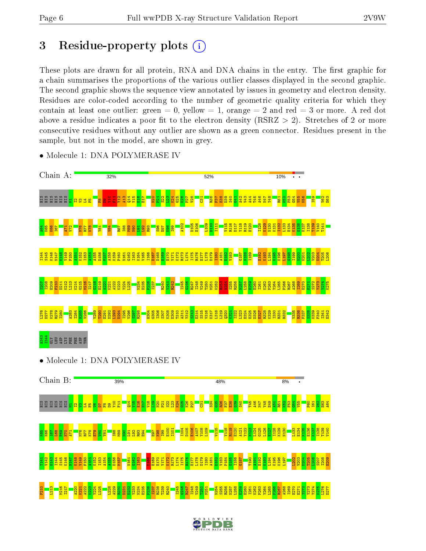# 3 Residue-property plots  $(i)$

These plots are drawn for all protein, RNA and DNA chains in the entry. The first graphic for a chain summarises the proportions of the various outlier classes displayed in the second graphic. The second graphic shows the sequence view annotated by issues in geometry and electron density. Residues are color-coded according to the number of geometric quality criteria for which they contain at least one outlier: green  $= 0$ , yellow  $= 1$ , orange  $= 2$  and red  $= 3$  or more. A red dot above a residue indicates a poor fit to the electron density (RSRZ  $> 2$ ). Stretches of 2 or more consecutive residues without any outlier are shown as a green connector. Residues present in the sample, but not in the model, are shown in grey.



• Molecule 1: DNA POLYMERASE IV

• Molecule 1: DNA POLYMERASE IV



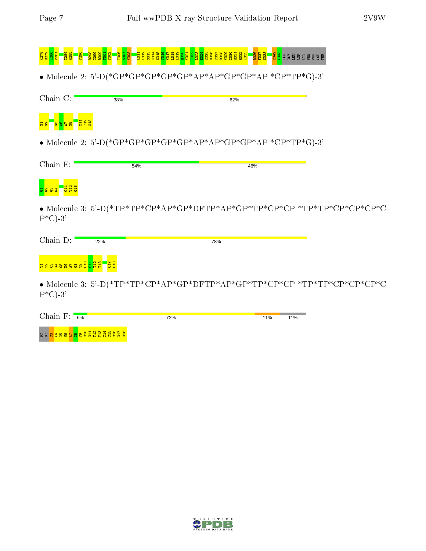|                                            |     | <u>ដូងទី ដូ ដូ ដូ ដូ ដូ ដូ</u><br>នូ នី ដូ ដូ ដូ ដូ ដូ ដូ ដូ ដូ          |     |  |
|--------------------------------------------|-----|--------------------------------------------------------------------------|-----|--|
|                                            |     | • Molecule 2: 5'-D(*GP*GP*GP*GP*GP*AP*AP*GP*GP*AP *CP*TP*G)-3'           |     |  |
| Chain C:                                   | 38% | 62%                                                                      |     |  |
| <mark>និងនិង</mark>                        |     |                                                                          |     |  |
|                                            |     | • Molecule 2: 5'-D(*GP*GP*GP*GP*GP*AP*AP*GP*GP*AP *CP*TP*G)-3'           |     |  |
| Chain E:                                   | 54% |                                                                          | 46% |  |
| <mark>ឆ ន ឌ ឌ</mark>                       |     |                                                                          |     |  |
| $P^{\ast}$ C)-3'                           |     |                                                                          |     |  |
| Chain D:<br>22%                            |     | 78%                                                                      |     |  |
| <mark>ដ្ឋ ខេត្តខេត្ត ខេត្ត អូជ្ញ ដូ</mark> |     |                                                                          |     |  |
| יפ וראת                                    |     | • Molecule 3: 5'-D(*TP*TP*CP*AP*GP*DFTP*AP*GP*TP*CP*CP *TP*TP*CP*CP*CP*C |     |  |

• Molecule 3: 5'-D(\*TP\*TP\*CP\*AP\*GP\*DFTP\*AP\*GP\*TP\*CP\*CP \*TP\*TP\*CP\*CP\*CP\*C  $P^*C$ -3'

| Chain $F$ :<br>6%                           | 72% | 11% | 11% |
|---------------------------------------------|-----|-----|-----|
| គគ <mark>ខ្នងទទួង</mark> ទូមិដីដូដូដូដី និង |     |     |     |

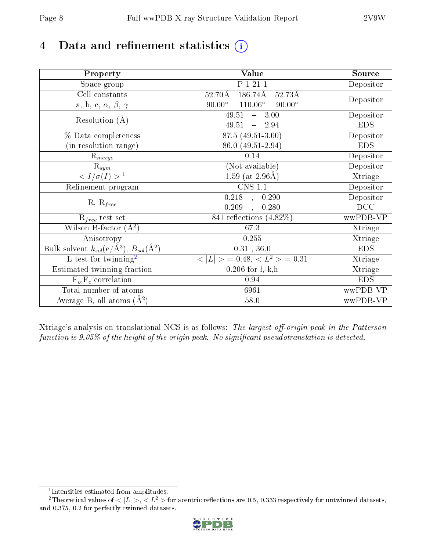# 4 Data and refinement statistics  $(i)$

| Property                                                             | Value                                            | Source     |
|----------------------------------------------------------------------|--------------------------------------------------|------------|
| Space group                                                          | P 1 21 1                                         | Depositor  |
| Cell constants                                                       | 186.74Å<br>$52.70\text{\AA}$<br>52.73Å           |            |
| a, b, c, $\alpha$ , $\beta$ , $\gamma$                               | $90.00^\circ$<br>$110.06^\circ$<br>$90.00^\circ$ | Depositor  |
| Resolution $(A)$                                                     | 49.51<br>$-3.00$                                 | Depositor  |
|                                                                      | 49.51<br>$-2.94$                                 | <b>EDS</b> |
| % Data completeness                                                  | 87.5 (49.51-3.00)                                | Depositor  |
| (in resolution range)                                                | 86.0 (49.51-2.94)                                | <b>EDS</b> |
| $R_{merge}$                                                          | 0.14                                             | Depositor  |
| $\mathrm{R}_{sym}$                                                   | (Not available)                                  | Depositor  |
| $\sqrt{I/\sigma}(I) > 1$                                             | 1.59 (at $2.96\text{\AA}$ )                      | Xtriage    |
| Refinement program                                                   | CNS 1.1                                          | Depositor  |
|                                                                      | $\overline{0.218}$ ,<br>0.290                    | Depositor  |
| $R, R_{free}$                                                        | 0.209<br>0.280                                   | DCC        |
| $R_{free}$ test set                                                  | 841 reflections $(4.82\%)$                       | wwPDB-VP   |
| Wilson B-factor $(A^2)$                                              | 67.3                                             | Xtriage    |
| Anisotropy                                                           | 0.255                                            | Xtriage    |
| Bulk solvent $k_{sol}(e/\mathring{A}^3)$ , $B_{sol}(\mathring{A}^2)$ | $0.31$ , 36.0                                    | <b>EDS</b> |
| L-test for twinning <sup>2</sup>                                     | $< L >$ = 0.48, $< L2$ = 0.31                    | Xtriage    |
| Estimated twinning fraction                                          | $0.206$ for $1, -k, h$                           | Xtriage    |
| $F_o, F_c$ correlation                                               | 0.94                                             | <b>EDS</b> |
| Total number of atoms                                                | 6961                                             | wwPDB-VP   |
| Average B, all atoms $(A^2)$                                         | 58.0                                             | wwPDB-VP   |

Xtriage's analysis on translational NCS is as follows: The largest off-origin peak in the Patterson function is  $9.05\%$  of the height of the origin peak. No significant pseudotranslation is detected.

<sup>&</sup>lt;sup>2</sup>Theoretical values of  $\langle |L| \rangle$ ,  $\langle L^2 \rangle$  for acentric reflections are 0.5, 0.333 respectively for untwinned datasets, and 0.375, 0.2 for perfectly twinned datasets.



<span id="page-7-1"></span><span id="page-7-0"></span><sup>1</sup> Intensities estimated from amplitudes.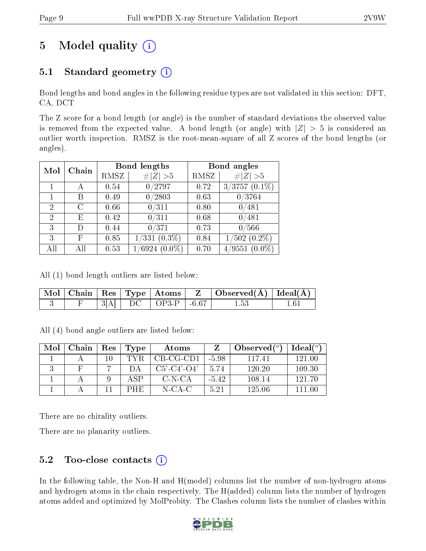# 5 Model quality  $(i)$

## 5.1 Standard geometry  $(i)$

Bond lengths and bond angles in the following residue types are not validated in this section: DFT, CA, DCT

The Z score for a bond length (or angle) is the number of standard deviations the observed value is removed from the expected value. A bond length (or angle) with  $|Z| > 5$  is considered an outlier worth inspection. RMSZ is the root-mean-square of all Z scores of the bond lengths (or angles).

| Mol            | Chain |      | Bond lengths               |      | Bond angles                |
|----------------|-------|------|----------------------------|------|----------------------------|
|                |       | RMSZ | # $ Z  > 5$                | RMSZ | Z   > 5                    |
|                | А     | 0.54 | 0/2797                     | 0.72 | $3/3757$ $(0.1\%)$         |
|                | В     | 0.49 | 0/2803                     | 0.63 | 0/3764                     |
| $\overline{2}$ | C     | 0.66 | 0/311                      | 0.80 | 0/481                      |
| $\overline{2}$ | Е     | 0.42 | 0/311                      | 0.68 | 0/481                      |
| 3              |       | 0.44 | 0/371                      | 0.73 | 0/566                      |
| 3              | F     | 0.85 | $(0.3\%)$<br>1/331         | 0.84 | $(502)(0.2\%)$<br>1/       |
| All            | All   | 0.53 | $(0.0\%)$<br>$\sqrt{6924}$ | 0.70 | $(0.0\%)$<br>$\sqrt{9551}$ |

All (1) bond length outliers are listed below:

|  |  | $\Box$ Mol $\vert$ Chain $\vert$ Res $\vert$ Type $\vert$ Atoms $\vert$ | $\mathbf{Z}$ . The set of $\mathbf{Z}$ | $\mid$ Observed( $\AA$ ) $\mid$ Ideal( $\AA$ ) $\mid$ |  |
|--|--|-------------------------------------------------------------------------|----------------------------------------|-------------------------------------------------------|--|
|  |  | $\overline{O}$ OP3-P                                                    | . -6.67                                |                                                       |  |

All (4) bond angle outliers are listed below:

| Mol | Chain | Res | Type           | Atoms                 |         | Observed $(°)$ | Ideal $(^{\circ}$ |
|-----|-------|-----|----------------|-----------------------|---------|----------------|-------------------|
|     |       | 10  | TYR            | CB-CG-CD1             | $-5.98$ | 11741          | 121.00            |
|     |       |     |                | $C5'$ - $C4'$ - $O4'$ | 5.74    | 120.20         | 109.30            |
|     |       |     | $\triangle$ SP | C-N-CA                | $-5.42$ | 108.14         | 121 70            |
|     |       |     | PHE.           | $N$ -CA-C             | 5.21    | 125.06         | 111 00            |

There are no chirality outliers.

There are no planarity outliers.

### 5.2 Too-close contacts  $(i)$

In the following table, the Non-H and H(model) columns list the number of non-hydrogen atoms and hydrogen atoms in the chain respectively. The H(added) column lists the number of hydrogen atoms added and optimized by MolProbity. The Clashes column lists the number of clashes within

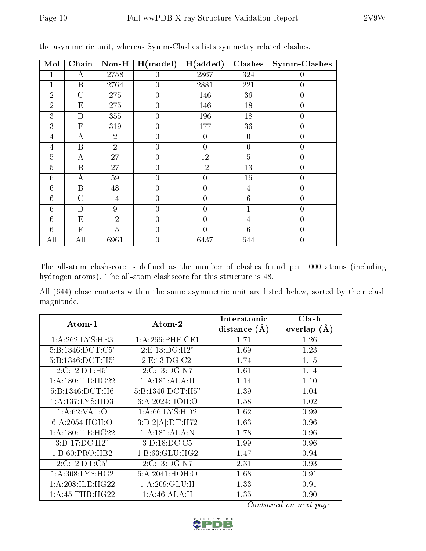| Mol            | Chain                     | $Non-H$        | H (model)      | H(added)       | <b>Clashes</b>  | Symm-Clashes   |
|----------------|---------------------------|----------------|----------------|----------------|-----------------|----------------|
| 1              | А                         | 2758           | $\theta$       | 2867           | 324             | 0              |
| $\mathbf 1$    | B                         | 2764           | $\theta$       | 2881           | 221             | $\overline{0}$ |
| $\overline{2}$ | $\overline{C}$            | 275            | $\overline{0}$ | 146            | 36              | $\overline{0}$ |
| $\overline{2}$ | E                         | 275            | $\overline{0}$ | 146            | 18              | $\overline{0}$ |
| 3              | D                         | 355            | $\overline{0}$ | 196            | 18              | $\overline{0}$ |
| 3              | $\overline{F}$            | 319            | $\overline{0}$ | 177            | 36              | $\overline{0}$ |
| 4              | $\boldsymbol{\mathrm{A}}$ | $\overline{2}$ | $\overline{0}$ | $\overline{0}$ | $\overline{0}$  | 0              |
| 4              | B                         | $\overline{2}$ | $\overline{0}$ | $\overline{0}$ | $\overline{0}$  | $\overline{0}$ |
| $\overline{5}$ | А                         | 27             | $\overline{0}$ | 12             | $\overline{5}$  | $\overline{0}$ |
| $\overline{5}$ | B                         | 27             | $\overline{0}$ | 12             | 13              | $\overline{0}$ |
| 6              | А                         | 59             | $\overline{0}$ | $\overline{0}$ | 16              | $\overline{0}$ |
| 6              | B                         | 48             | $\overline{0}$ | $\overline{0}$ | $\overline{4}$  | $\overline{0}$ |
| 6              | $\overline{C}$            | 14             | $\theta$       | $\theta$       | $6\phantom{.}6$ | $\overline{0}$ |
| 6              | D                         | 9              | $\theta$       | $\overline{0}$ | $\mathbf{1}$    | $\overline{0}$ |
| 6              | E                         | 12             | $\theta$       | $\theta$       | $\overline{4}$  | $\overline{0}$ |
| 6              | $\mathbf{F}$              | 15             | $\overline{0}$ | $\theta$       | $6\phantom{.}6$ | $\overline{0}$ |
| All            | All                       | 6961           | $\overline{0}$ | 6437           | 644             | $\overline{0}$ |

the asymmetric unit, whereas Symm-Clashes lists symmetry related clashes.

The all-atom clashscore is defined as the number of clashes found per 1000 atoms (including hydrogen atoms). The all-atom clashscore for this structure is 48.

All (644) close contacts within the same asymmetric unit are listed below, sorted by their clash magnitude.

| Atom-1              | Atom-2              | Interatomic    | Clash         |
|---------------------|---------------------|----------------|---------------|
|                     |                     | distance $(A)$ | overlap $(A)$ |
| 1:A:262:LYS:HE3     | $1: A:266:$ PHE:CE1 | 1.71           | 1.26          |
| 5:B:1346:DCT:C5'    | 2: E: 13: DG: H2"   | 1.69           | 1.23          |
| 5:B:1346:DCT:H5'    | 2: E: 13: DG: C2'   | 1.74           | 1.15          |
| 2:C:12:DT:H5'       | 2:C:13:DG:N7        | 1.61           | 1.14          |
| 1: A:180: ILE: HG22 | 1:A:181:ALA:H       | 1.14           | 1.10          |
| 5:B:1346:DCT:H6     | 5:B:1346:DCT:H5"    | 1.39           | 1.04          |
| 1:A:137:LYS:HD3     | 6: A:2024: HOH:O    | 1.58           | 1.02          |
| 1: A:62:VAL:O       | 1: A:66: LYS:HD2    | 1.62           | 0.99          |
| 6: A:2054: HOH:O    | 3:D:2[A]:DT:H72     | 1.63           | 0.96          |
| 1: A:180: ILE: HG22 | 1:A:181:ALA:N       | 1.78           | 0.96          |
| 3:D:17:DC:H2"       | $3: D: 18: DC: C5$  | 1.99           | 0.96          |
| 1:B:60:PRO:HB2      | 1: B:63: GLU: HG2   | 1.47           | 0.94          |
| 2:C:12:DT:C5        | 2:C:13:DG:N7        | 2.31           | 0.93          |
| 1: A:308: LYS: HG2  | 6: A:2041: HOH:O    | 1.68           | 0.91          |
| 1: A:208: ILE: HG22 | 1:A:209:GLU:H       | 1.33           | 0.91          |
| 1: A: 45: THR: HG22 | 1:A:46:ALA:H        | 1.35           | 0.90          |

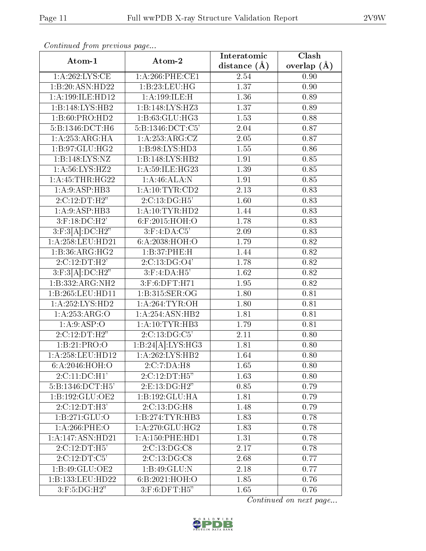| Atom-1                       | Atom-2                          | Interatomic       | Clash         |
|------------------------------|---------------------------------|-------------------|---------------|
|                              |                                 | distance $(\AA)$  | overlap $(A)$ |
| 1: A:262:LYS:CE              | $1: A:266:$ PHE:CE1             | 2.54              | 0.90          |
| 1:B:20:ASN:HD22              | 1:B:23:LEU:HG                   | $\overline{1.37}$ | 0.90          |
| 1:A:199:ILE:HD12             | 1: A: 199: ILE:H                | 1.36              | 0.89          |
| 1:B:148:LYS:HB2              | 1:B:148:LYS:HZ3                 | 1.37              | 0.89          |
| 1: B:60: PRO:HD2             | 1:B:63:GLU:HG3                  | 1.53              | 0.88          |
| $5:B:1346:\overline{DCT:H6}$ | 5:B:1346:DCT:C5'                | 2.04              | 0.87          |
| 1:A:253:ARG:HA               | 1: A: 253: ARG: CZ              | 2.05              | 0.87          |
| 1:B:97:GLU:HG2               | 1:B:98:LYS:HD3                  | 1.55              | 0.86          |
| 1:B:148:LYS:NZ               | 1:B:148:LYS:HB2                 | 1.91              | 0.85          |
| 1: A:56: LYS: HZ2            | 1:A:59:ILE:HG23                 | 1.39              | 0.85          |
| 1: A: 45: THR: HG22          | 1:A:46:ALA:N                    | 1.91              | 0.85          |
| 1: A:9: ASP:HB3              | 1: A:10:TYR:CD2                 | 2.13              | 0.83          |
| 2:C:12:DT:H2"                | 2:C:13:DG:H5'                   | 1.60              | 0.83          |
| 1:A:9:ASP:HB3                | 1: A:10:TYR:HD2                 | 1.44              | 0.83          |
| $3:$ F:18:DC:H2'             | $6:$ F:2015:HOH:O               | 1.78              | 0.83          |
| $3:$ F:3[A]:DC:H2"           | $3:$ F:4:DA: $C5'$              | 2.09              | 0.83          |
| 1:A:258:LEU:HD21             | 6:A:2038:HOH:O                  | 1.79              | 0.82          |
| 1:B:36:ARG:HG2               | 1:B:37:PHE:H                    | 1.44              | 0.82          |
| 2:C:12:DT:H2'                | 2:C:13:DG:O4'                   | 1.78              | 0.82          |
| $3:$ F:3 $[A].$ DC:H2"       | $3:$ F:4:DA:H5'                 | 1.62              | 0.82          |
| 1:B:332:ARG:NH2              | 3:F:6:DFT:H71                   | $\overline{1.95}$ | 0.82          |
| 1:B:265:LEU:HD11             | 1:B:315:SER:OG                  | 1.80              | 0.81          |
| 1:A:252:LYS:HD2              | 1: A:264:TYR:OH                 | 1.80              | 0.81          |
| $1:A:253:\overline{ARG:O}$   | 1:A:254:ASN:HB2                 | 1.81              | 0.81          |
| 1: A:9: ASP:O                | 1:A:10:TYR:HB3                  | 1.79              | 0.81          |
| 2:C:12:DT:H2"                | 2:C:13:DG:C5                    | 2.11              | 0.80          |
| 1:B:21:PRO:O                 | 1:B:24[A]:LYS:HG3               | 1.81              | 0.80          |
| 1:A:258:LEU:HD12             | 1:A:262:LYS:HB2                 | 1.64              | 0.80          |
| 6: A:2046:HOH:O              | 2:C:7:DA:H8                     | 1.65              | 0.80          |
| 2:C:11:DC:H1'                | 2:C:12:DT:H5"                   | 1.63              | 0.80          |
| 5:B:1346:DCT:H5'             | 2: E: 13: DG: H2"               | 0.85              | 0.79          |
| 1:B:192:GLU:OE2              | 1:B:192:GLU:HA                  | 1.81              | 0.79          |
| 2:C:12:DT:H3'                | 2:C:13:DG:H8                    | 1.48              | 0.79          |
| 1: B: 271: GLU:O             | 1:B:274:TYR:HB3                 | 1.83              | 0.78          |
| $1: A:266:$ PHE:O            | 1: A:270: GLU: HG2              | 1.83              | 0.78          |
| 1:A:147:ASN:HD21             | 1: A: 150: PHE: HD1             | 1.31              | 0.78          |
| 2:C:12:DT:H5'                | 2:C:13:DG:CS                    | 2.17              | 0.78          |
| 2:C:12:DT:C5'                | 2:C:13:DG:CS                    | 2.68              | 0.77          |
| 1:B:49:GLU:OE2               | 1:B:49:GLU:N                    | 2.18              | 0.77          |
| 1:B:133:LEU:HD22             | 6:B:2021:HOH:O                  | 1.85              | 0.76          |
| $3:$ F:5:DG:H2"              | $3:$ F:6:DFT: $\overline{H5}$ " | 1.65              | 0.76          |

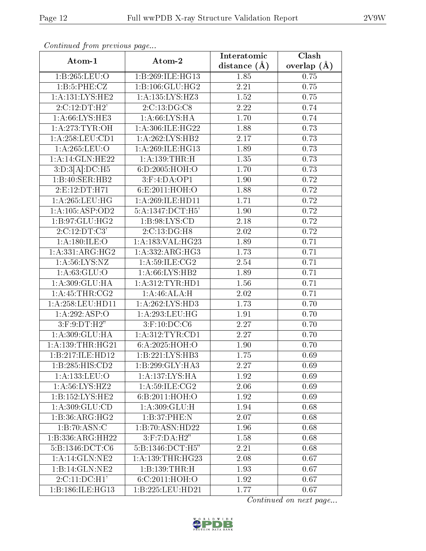| Atom-1                     | Atom-2               | Interatomic      | Clash         |
|----------------------------|----------------------|------------------|---------------|
|                            |                      | distance $(\AA)$ | overlap $(A)$ |
| 1:B:265:LEU:O              | 1:B:269:ILE:HG13     | 1.85             | 0.75          |
| 1:B:5:PHE:CZ               | 1:B:106:GLU:HG2      | $2.21\,$         | 0.75          |
| 1: A: 131: LYS: HE2        | 1:A:135:LYS:HZ3      | 1.52             | 0.75          |
| 2:C:12:DT:H2'              | 2:C:13:DG:CS         | 2.22             | 0.74          |
| 1: A:66: LYS: HE3          | 1: A:66: LYS: HA     | 1.70             | 0.74          |
| 1: A:273: TYR:OH           | 1: A:306: ILE:HG22   | 1.88             | 0.73          |
| 1:A:258:LEU:CD1            | 1:A:262:LYS:HB2      | 2.17             | 0.73          |
| 1:A:265:LEU:O              | 1:A:269:ILE:HG13     | 1.89             | 0.73          |
| 1:A:14:GLN:HE22            | 1:A:139:THR:H        | 1.35             | 0.73          |
| 3:D:3[A]:DC:H5             | 6:D:2005:HOH:O       | 1.70             | 0.73          |
| 1:B:40:SER:HB2             | $3:$ F:4:DA:OP1      | 1.90             | 0.72          |
| 2:E:12:DT:H71              | 6:E:2011:HOH:O       | 1.88             | 0.72          |
| 1: A:265:LEU:HG            | 1: A:269: ILE: HDI1  | 1.71             | 0.72          |
| 1: A: 105: ASP: OD2        | 5:A:1347:DCT:H5'     | 1.90             | 0.72          |
| 1:B:97:GLU:HG2             | 1: B:98: LYS: CD     | 2.18             | 0.72          |
| 2:C:12:DT:C3'              | 2:C:13:DG:H8         | 2.02             | 0.72          |
| 1: A:180: ILE:O            | 1:A:183:VAL:HG23     | 1.89             | 0.71          |
| 1: A: 331: ARG: HG2        | 1: A: 332: ARG: HG3  | 1.73             | 0.71          |
| 1: A:56: LYS: NZ           | 1: A:59: ILE: CG2    | 2.54             | 0.71          |
| 1: A:63: GLU:O             | 1: A:66: LYS:HB2     | 1.89             | 0.71          |
| 1:A:309:GLU:HA             | 1: A: 312: TYR: HD1  | 1.56             | 0.71          |
| 1: A: 45: THR: CG2         | 1:A:46:ALA:H         | 2.02             | 0.71          |
| 1:A:258:LEU:HD11           | 1:A:262:LYS:HD3      | 1.73             | 0.70          |
| 1:A:292:ASP:O              | 1:A:293:LEU:HG       | 1.91             | 0.70          |
| $3:$ F: $9:DT:H2"$         | $3:$ F:10:DC:C6      | 2.27             | 0.70          |
| 1:A:309:GLU:HA             | 1:A:312:TYR:CD1      | 2.27             | 0.70          |
| 1: A: 139: THR: HG21       | 6:A:2025:HOH:O       | 1.90             | 0.70          |
| 1:B:217:ILE:HD12           | 1:B:221:LYS:HB3      | 1.75             | 0.69          |
| 1:B:285:HIS:CD2            | 1:B:299:GLY:HA3      | 2.27             | 0.69          |
| 1:A:133:LEU:O              | 1: A: 137: LYS: HA   | 1.92             | 0.69          |
| 1: A:56: LYS: HZ2          | 1: A:59: ILE: CG2    | 2.06             | 0.69          |
| 1:B:152:LYS:HE2            | 6:B:2011:HOH:O       | 1.92             | 0.69          |
| 1: A:309: GLU:CD           | 1:A:309:GLU:H        | 1.94             | 0.68          |
| 1:B:36:ARG:HG2             | 1:B:37:PHE:N         | 2.07             | 0.68          |
| 1:B:70:ASN:C               | 1:B:70:ASN:HD22      | 1.96             | 0.68          |
| 1:B:336:ARG:HH22           | $3:$ F: $7:DA:H2"$   | 1.58             | 0.68          |
| 5: B: 1346: DCT: C6        | 5:B:1346:DCT:H5"     | 2.21             | 0.68          |
| 1:A:14:GLN:NE2             | 1: A: 139: THR: HG23 | 2.08             | 0.67          |
| 1:B:14:GLN:NE2             | 1:B:139:THR:H        | 1.93             | 0.67          |
| $2:C:11:DC:\overline{H1'}$ | 6:C:2011:HOH:O       | 1.92             | 0.67          |
| 1:B:186:ILE:HG13           | 1:B:225:LEU:HD21     | 1.77             | 0.67          |

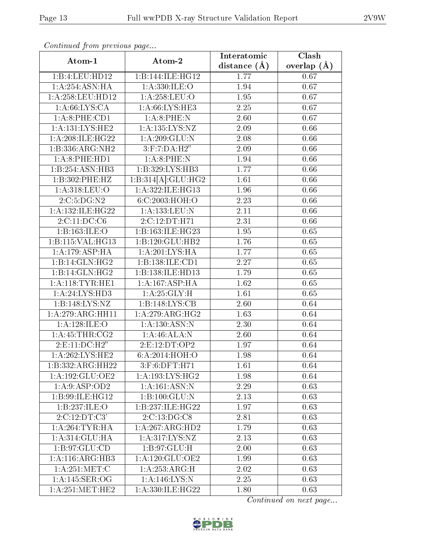| Atom-1                       | Atom-2                    | Interatomic       | Clash         |
|------------------------------|---------------------------|-------------------|---------------|
|                              |                           | distance $(\AA)$  | overlap $(A)$ |
| 1:B:4:LEU:HD12               | 1:B:144:ILE:HG12          | 1.77              | 0.67          |
| 1: A:254: ASN: HA            | 1: A:330: ILE:O           | 1.94              | 0.67          |
| 1:A:258:LEU:HD12             | 1:A:258:LEU:O             | 1.95              | 0.67          |
| 1: A:66: LYS:CA              | 1: A:66: LYS: HE3         | 2.25              | 0.67          |
| 1:A:8:PHE:CD1                | 1: A:8: PHE: N            | 2.60              | 0.67          |
| 1: A: 131: LYS: HE2          | 1:A:135:LYS:NZ            | 2.09              | 0.66          |
| 1:A:208:ILE:HG22             | 1:A:209:GLU:N             | 2.08              | 0.66          |
| 1:B:336:ARG:NH2              | 3:F:7:DA:H2"              | 2.09              | 0.66          |
| 1: A:8: PHE: HD1             | 1: A:8: PHE: N            | 1.94              | 0.66          |
| $1:B:25\overline{4:ASN:HB3}$ | 1:B:329:LYS:HB3           | 1.77              | 0.66          |
| 1:B:302:PHE:HZ               | 1:B:314[A]:GLU:HG2        | 1.61              | 0.66          |
| 1:A:318:LEU:O                | 1:A:322:ILE:HG13          | 1.96              | 0.66          |
| 2:C:5:DG:N2                  | 6:C:2003:HOH:O            | 2.23              | 0.66          |
| 1: A: 132: ILE: HG22         | 1:A:133:LEU:N             | 2.11              | 0.66          |
| 2:C:11:DC:CG                 | 2:C:12:DT:H71             | 2.31              | 0.66          |
| 1:B:163:ILE:O                | 1:B:163:ILE:HG23          | 1.95              | 0.65          |
| 1:B:115:VAL:HG13             | 1:B:120:GLU:HB2           | 1.76              | 0.65          |
| 1:A:179:ASP:HA               | 1: A:201:LYS:HA           | 1.77              | 0.65          |
| 1:B:14:GLN:HG2               | 1:B:138:ILE:CD1           | 2.27              | 0.65          |
| 1:B:14:GLN:HG2               | 1:B:138:ILE:HD13          | 1.79              | 0.65          |
| 1: A:118:TYR:HE1             | 1:A:167:ASP:HA            | 1.62              | 0.65          |
| 1: A:24: LYS:HD3             | 1: A:25: GLY: H           | $\overline{1.61}$ | 0.65          |
| 1:B:148:LYS:NZ               | 1:B:148:LYS:CB            | 2.60              | 0.64          |
| 1:A:279:ARG:HH11             | 1: A:279: ARG: HG2        | 1.63              | 0.64          |
| 1:A:128:ILE:O                | 1: A: 130: ASN: N         | 2.30              | 0.64          |
| 1: A: 45: THR: CG2           | 1:A:46:ALA:N              | 2.60              | 0.64          |
| 2:E:11:DC:H2"                | 2:E:12:DT:OP2             | 1.97              | 0.64          |
| 1:A:262:LYS:HE2              | 6:A:2014:HOH:O            | 1.98              | 0.64          |
| 1:B:332:ARG:HH22             | 3:F:6:DFT:H71             | 1.61              | 0.64          |
| 1:A:192:GLU:OE2              | 1: A: 193: LYS: HG2       | 1.98              | 0.64          |
| 1:A:9:ASP:OD2                | 1: A:161: ASN:N           | 2.29              | 0.63          |
| 1:B:99:ILE:HG12              | 1:B:100:GLU:N             | 2.13              | 0.63          |
| 1:B:237:ILE:O                | 1:B:237:ILE:HG22          | 1.97              | 0.63          |
| 2:C:12:DT:C3'                | $2:C:13:\overline{DG:C8}$ | 2.81              | 0.63          |
| 1: A:264:TYR:HA              | 1:A:267:ARG:HD2           | 1.79              | 0.63          |
| 1:A:314:GLU:HA               | 1: A: 317: LYS: NZ        | 2.13              | 0.63          |
| 1: B:97: GLU:CD              | 1:B:97:GLU:H              | 2.00              | 0.63          |
| 1:A:116:ARG:HB3              | 1: A:120: GLU:OE2         | 1.99              | 0.63          |
| 1: A:251:MET:C               | 1: A: 253: ARG: H         | 2.02              | 0.63          |
| 1: A:145: SER:OG             | 1: A:146: LYS:N           | 2.25              | 0.63          |
| 1: A:251: MET:HE2            | 1:A:330:ILE:HG22          | 1.80              | 0.63          |

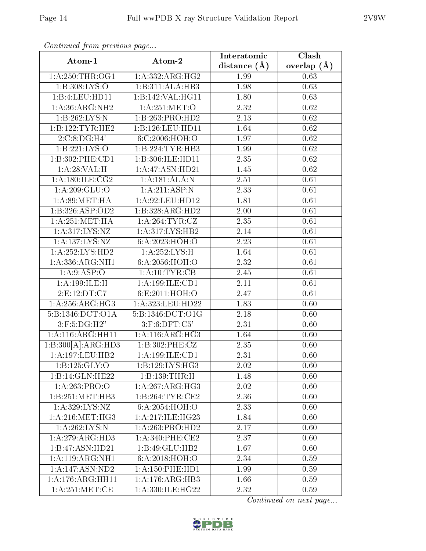| Atom-1                             |                     | Interatomic       | Clash         |
|------------------------------------|---------------------|-------------------|---------------|
|                                    | Atom-2              | distance $(\AA)$  | overlap $(A)$ |
| 1: A:250:THR:OG1                   | 1: A: 332: ARG: HG2 | 1.99              | 0.63          |
| 1:B:308:LYS:O                      | 1:B:311:ALA:HB3     | 1.98              | 0.63          |
| 1:B:4:LEU:HD11                     | 1:B:142:VAL:HG11    | 1.80              | 0.63          |
| 1: A:36: ARG: NH2                  | 1:A:251:MET:O       | 2.32              | 0.62          |
| 1:B:262:LYS:N                      | 1:B:263:PRO:HD2     | 2.13              | 0.62          |
| 1:B:122:TYR:HE2                    | 1:B:126:LEU:HD11    | 1.64              | 0.62          |
| 2:C:8:DG:H4'                       | 6:C:2006:HOH:O      | 1.97              | 0.62          |
| 1:B:221:LYS:O                      | 1:B:224:TYR:HB3     | 1.99              | 0.62          |
| 1:B:302:PHE:CD1                    | 1:B:306:ILE:HD11    | 2.35              | 0.62          |
| 1:A:28:VAL:H                       | 1:A:47:ASN:HD21     | 1.45              | 0.62          |
| 1: A:180: ILE: CG2                 | 1:A:181:ALA:N       | 2.51              | 0.61          |
| 1: A:209: GLU:O                    | 1:A:211:ASP:N       | 2.33              | 0.61          |
| 1: A:89:MET:HA                     | 1:A:92:LEU:HD12     | 1.81              | 0.61          |
| 1:B:326:ASP:OD2                    | 1:B:328:ARG:HD2     | 2.00              | 0.61          |
| 1: A:251: MET:HA                   | 1:A:264:TYR:CZ      | 2.35              | 0.61          |
| 1:A:317:LYS:NZ                     | 1:A:317:LYS:HB2     | 2.14              | 0.61          |
| $1:A:137:\overline{\text{LYS:NZ}}$ | 6: A:2023:HOH:O     | 2.23              | 0.61          |
| $1:A:252:LYS:H\overline{D2}$       | 1: A:252:LYS:H      | $1.64\,$          | 0.61          |
| 1:A:336:ARG:NH1                    | 6:A:2056:HOH:O      | 2.32              | 0.61          |
| 1: A:9: ASP:O                      | 1:A:10:TYR:CB       | 2.45              | 0.61          |
| 1: A: 199: ILE:H                   | 1:A:199:ILE:CD1     | $\overline{2.11}$ | 0.61          |
| 2:E:12:DT:C7                       | 6:E:2011:HOH:O      | 2.47              | 0.61          |
| 1: A:256:ARG:HG3                   | 1:A:323:LEU:HD22    | 1.83              | 0.60          |
| 5:B:1346:DCT:O1A                   | 5:B:1346:DCT:O1G    | 2.18              | 0.60          |
| $3:$ F:5:DG:H2"                    | $3:$ F:6:DFT: $C5'$ | 2.31              | 0.60          |
| 1:A:116:ARG:HH11                   | 1:A:116:ARG:HG3     | 1.64              | 0.60          |
| 1:B:300[A]:ARG:HD3                 | 1:B:302:PHE:CZ      | 2.35              | 0.60          |
| 1:A:197:LEU:HB2                    | $1:A:199:ILE:$ CD1  | 2.31              | 0.60          |
| 1: B: 125: GLY: O                  | 1:B:129:LYS:HG3     | 2.02              | 0.60          |
| 1:B:14:GLN:HE22                    | 1:B:139:THR:H       | 1.48              | 0.60          |
| 1:A:263:PRO:O                      | 1:A:267:ARG:HG3     | 2.02              | 0.60          |
| 1:B:251:MET:HB3                    | 1:B:264:TYR:CE2     | 2.36              | 0.60          |
| 1: A:329: LYS: NZ                  | 6:A:2054:HOH:O      | 2.33              | 0.60          |
| 1: A:216: MET:HG3                  | 1:A:217:ILE:HG23    | 1.84              | 0.60          |
| 1: A:262:LYS:N                     | 1:A:263:PRO:HD2     | 2.17              | 0.60          |
| 1:A:279:ARG:HD3                    | $1: A:340:$ PHE:CE2 | 2.37              | 0.60          |
| 1:B:47:ASN:HD21                    | 1:B:49:GLU:HB2      | 1.67              | 0.60          |
| 1:A:119:ARG:NH1                    | 6:A:2018:HOH:O      | 2.34              | 0.59          |
| 1:A:147:ASN:ND2                    | 1: A: 150: PHE: HD1 | 1.99              | 0.59          |
| 1:A:176:ARG:HH11                   | 1:A:176:ARG:HB3     | 1.66              | 0.59          |
| 1: A:251: MET:CE                   | 1:A:330:ILE:HG22    | 2.32              | 0.59          |

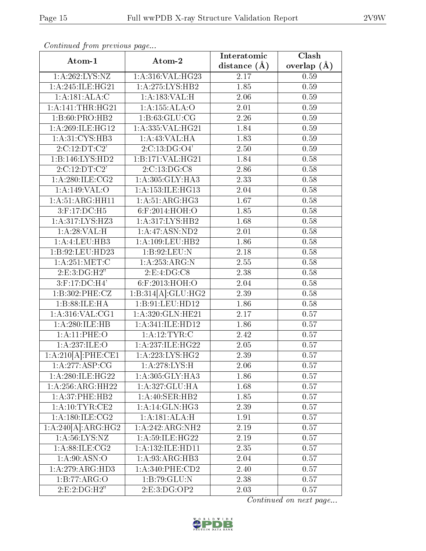| Atom-1                       |                      | Interatomic      | Clash         |
|------------------------------|----------------------|------------------|---------------|
|                              | Atom-2               | distance $(\AA)$ | overlap $(A)$ |
| 1:A:262:LYS:NZ               | 1:A:316:VAL:HG23     | 2.17             | 0.59          |
| 1: A:245: ILE:HG21           | 1:A:275:LYS:HB2      | 1.85             | 0.59          |
| 1: A:181: ALA: C             | 1:A:183:VAL:H        | 2.06             | 0.59          |
| 1: A:141:THR:HG21            | 1:A:155:ALA:O        | 2.01             | 0.59          |
| 1:B:60:PRO:HB2               | 1: B:63: GLU:CG      | 2.26             | 0.59          |
| 1: A:269: ILE: HG12          | 1:A:335:VAL:HG21     | 1.84             | 0.59          |
| 1: A:31: CYS:HB3             | 1:A:43:VAL:HA        | 1.83             | 0.59          |
| 2:C:12:DT:C2'                | 2:C:13:DG:O4'        | 2.50             | 0.59          |
| 1:B:146:LYS:HD2              | 1:B:171:VAL:HG21     | 1.84             | 0.58          |
| 2:C:12:DT:C2'                | 2:C:13:DG:CS         | 2.86             | 0.58          |
| 1: A:280: ILE: CG2           | 1: A:305: GLY:HA3    | 2.33             | 0.58          |
| 1:A:149:VAL:O                | 1:A:153:ILE:HG13     | 2.04             | 0.58          |
| 1:A:51:ARG:HH11              | 1: A:51: ARG:HG3     | 1.67             | 0.58          |
| 3:F:17:DC:H5                 | 6:F:2014:HOH:O       | 1.85             | 0.58          |
| 1: A:317: LYS: HZ3           | 1:A:317:LYS:HB2      | 1.68             | 0.58          |
| 1:A:28:VAL:H                 | 1:A:47:ASN:ND2       | 2.01             | 0.58          |
| 1:A:4:LEU:HB3                | 1: A: 109: LEU: HB2  | 1.86             | 0.58          |
| 1:B:92:LEU:HD23              | 1:B:92:LEU:N         | 2.18             | 0.58          |
| 1: A:251: MET:C              | 1:A:253:ARG:N        | 2.55             | 0.58          |
| 2: E: 3: DG:H2"              | 2: E: 4: DG: C8      | 2.38             | 0.58          |
| $3:$ F:17:DC:H4'             | 6:F:2013:HOH:O       | 2.04             | 0.58          |
| 1:B:302:PHE:CZ               | 1:B:314[A]:GLU:HG2   | 2.39             | 0.58          |
| 1:B:88:ILE:HA                | 1:B:91:LEU:HD12      | 1.86             | 0.58          |
| 1:A:316:VAL:CG1              | 1:A:320:GLN:HE21     | 2.17             | 0.57          |
| 1:A:280:ILE:HB               | 1:A:341:ILE:HD12     | 1.86             | 0.57          |
| 1: A:11:PHE:O                | 1:A:12:TYR:C         | 2.42             | 0.57          |
| 1:A:237:ILE:O                | 1:A:237:ILE:HG22     | 2.05             | 0.57          |
| 1:A:210[A]:PHE:CE1           | 1: A: 223: LYS: HG2  | 2.39             | 0.57          |
| 1:A:277:ASP:CG               | 1: A:278:LYS:H       | 2.06             | 0.57          |
| 1:A:280:ILE:HG22             | 1: A:305: GLY:HA3    | 1.86             | 0.57          |
| 1:A:256:ARG:HH22             | 1:A:327:GLU:HA       | 1.68             | 0.57          |
| 1: A:37:PHE:HB2              | 1: A:40: SER:HB2     | 1.85             | 0.57          |
| $1: \overline{A:10:TYR:CE2}$ | 1: A:14: GLN:HG3     | 2.39             | 0.57          |
| 1: A:180: ILE: CG2           | 1:A:181:ALA:H        | 1.91             | 0.57          |
| 1:A:240[A]:ARG:HG2           | 1:A:242:ARG:NH2      | 2.19             | 0.57          |
| 1: A:56: LYS: NZ             | 1:A:59:ILE:HG22      | 2.19             | 0.57          |
| 1: A:88: ILE: CG2            | 1: A: 132: ILE: HDI1 | 2.35             | 0.57          |
| 1: A:90: ASN:O               | 1: A:93: ARG:HB3     | 2.04             | 0.57          |
| 1:A:279:ARG:HD3              | 1: A:340: PHE:CD2    | 2.40             | 0.57          |
| 1:B:77:ARG:O                 | 1:B:79:GLU:N         | 2.38             | 0.57          |
| 2:E:2:DG:H2"                 | 2:E:3:DG:OP2         | 2.03             | 0.57          |

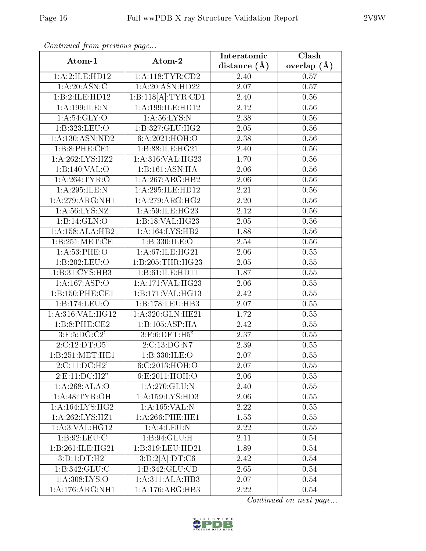| Atom-1              |                              | Interatomic       | Clash         |
|---------------------|------------------------------|-------------------|---------------|
|                     | Atom-2                       | distance $(\AA)$  | overlap $(A)$ |
| 1:A:2:ILE:HD12      | 1: A:118: TYR: CD2           | 2.40              | 0.57          |
| 1: A:20: ASN: C     | 1: A:20: ASN:HD22            | 2.07              | 0.57          |
| 1:B:2:ILE:HD12      | 1:B:118[A]:TYR:CD1           | 2.40              | 0.56          |
| 1: A: 199: ILE:N    | 1:A:199:ILE:HD12             | $2.12\,$          | 0.56          |
| 1: A:54: GLY:O      | 1: A:56: LYS: N              | 2.38              | 0.56          |
| 1:B:323:LEU:O       | 1:B:327:GLU:HG2              | 2.05              | 0.56          |
| 1: A: 130: ASN: ND2 | 6:A:2021:HOH:O               | 2.38              | 0.56          |
| 1:B:8:PHE:CE1       | 1:B:88:ILE:HG21              | 2.40              | $0.56\,$      |
| 1:A:262:LYS:HZ2     | 1:A:316:VAL:HG23             | 1.70              | $0.56\,$      |
| 1:B:140:VAL:O       | 1:B:161:ASN:HA               | 2.06              | $0.56\,$      |
| 1:A:264:TYR:O       | 1:A:267:ARG:HB2              | 2.06              | 0.56          |
| 1: A:295: ILE:N     | 1:A:295:ILE:HD12             | $\overline{2.21}$ | $0.56\,$      |
| 1:A:279:ARG:NH1     | 1: A:279: ARG: HG2           | 2.20              | $0.56\,$      |
| 1: A:56: LYS: NZ    | 1:A:59:ILE:HG23              | 2.12              | 0.56          |
| 1:B:14:GLN:O        | 1:B:18:VAL:HG23              | 2.05              | 0.56          |
| 1:A:158:ALA:HB2     | 1:A:164:LYS:HB2              | 1.88              | 0.56          |
| 1: B:251: MET:CE    | 1:B:330:ILE:O                | 2.54              | 0.56          |
| 1: A:53:PHE:O       | 1:A:67:ILE:HG21              | 2.06              | 0.55          |
| 1:B:202:LEU:O       | 1:B:205:THR:HG23             | 2.05              | $0.55\,$      |
| 1:B:31:CYS:HB3      | 1:B:61:ILE:HD11              | 1.87              | $0.55\,$      |
| 1:A:167:ASP:O       | 1:A:171:VAL:HG23             | 2.06              | $0.55\,$      |
| 1:B:150:PHE:CE1     | 1:B:171:VAL:HG13             | 2.42              | 0.55          |
| 1:B:174:LEU:O       | 1:B:178:LEU:HB3              | 2.07              | $0.55\,$      |
| 1:A:316:VAL:HG12    | 1:A:320:GLN:HE21             | $\overline{1.72}$ | $0.55\,$      |
| 1:B:8:PHE:CE2       | 1:B:105:ASP:HA               | 2.42              | 0.55          |
| $3:$ F:5:DG:C2'     | 3:F:6:DFT:H5"                | 2.37              | 0.55          |
| 2:C:12:DT:O5'       | 2:C:13:DG:N7                 | 2.39              | $0.55\,$      |
| 1:B:251:MET:HE1     | 1:B:330:ILE:O                | 2.07              | 0.55          |
| 2:C:11:DC:H2'       | 6:C:2013:HOH:O               | 2.07              | 0.55          |
| 2: E: 11: DC: H2"   | 6:E:2011:HOH:O               | 2.06              | 0.55          |
| 1:A:268:ALA:O       | 1: A:270: GLU:N              | 2.40              | 0.55          |
| 1:A:48:TYR:OH       | 1: A: 159: LYS: HD3          | 2.06              | 0.55          |
| 1: A: 164: LYS: HG2 | 1:A:165:VAL:N                | 2.22              | 0.55          |
| 1:A:262:LYS:HZ1     | 1: A:266:PHE:HE1             | 1.53              | 0.55          |
| 1:A:3:VAL:HG12      | 1:A:4:LEU:N                  | 2.22              | 0.55          |
| 1: B:92: LEU: C     | 1: B:94: GLU: H              | 2.11              | 0.54          |
| 1:B:261:ILE:HG21    | 1:B:319:LEU:HD21             | 1.89              | 0.54          |
| 3: D: 1: DT:H2'     | 3:D:2[A].DT:C6               | 2.42              | 0.54          |
| 1:B:342:GLU:C       | 1:B:342:GLU:CD               | 2.65              | 0.54          |
| 1: A:308: LYS:O     | 1:A:311:ALA:HB3              | 2.07              | 0.54          |
| 1:A:176:ARG:NH1     | $1:A:176:A\overline{RG:H}B3$ | 2.22              | 0.54          |

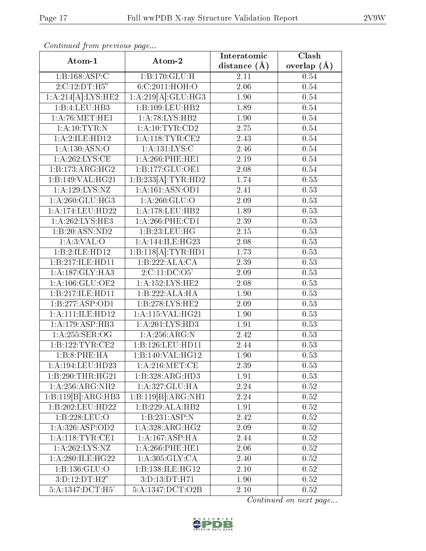| Atom-1<br>Atom-2   |                     | Interatomic    | Clash         |
|--------------------|---------------------|----------------|---------------|
|                    |                     | distance $(A)$ | overlap $(A)$ |
| 1:B:168:ASP:C      | 1:B:170:GLU:H       | 2.11           | 0.54          |
| 2:C:12:DT:H5"      | 6:C:2011:HOH:O      | 2.06           | $0.54\,$      |
| 1:A:214[A]:LYS:HE2 | 1:A:219[A]:GLU:HG3  | 1.90           | 0.54          |
| 1:B:4:LEU:HB3      | 1:B:109:LEU:HB2     | 1.89           | 0.54          |
| 1: A:76: MET:HE1   | 1: A:78: LYS: HB2   | 1.90           | 0.54          |
| 1: A:10: TYR:N     | 1: A:10: TYR:CD2    | $2.75\,$       | 0.54          |
| 1:A:2:ILE:HD12     | 1: A:118: TYR: CE2  | 2.43           | 0.54          |
| 1:A:130:ASN:O      | 1: A:131:LYS:C      | 2.46           | 0.54          |
| 1: A:262:LYS:CE    | 1: A:266:PHE:HE1    | 2.19           | 0.54          |
| 1:B:173:ARG:HG2    | 1:B:177:GLU:OE1     | 2.08           | 0.54          |
| 1:B:149:VAL:HG21   | 1:B:233[A]:TYR:HD2  | 1.74           | 0.53          |
| 1:A:129:LYS:NZ     | 1: A: 161: ASN: OD1 | 2.41           | 0.53          |
| 1: A:260: GLU:HG3  | 1: A:260: GLU:O     | 2.09           | 0.53          |
| 1:A:174:LEU:HD22   | 1: A:178: LEU: HB2  | 1.89           | 0.53          |
| 1:A:262:LYS:HE3    | 1:A:266:PHE:CD1     | 2.39           | 0.53          |
| 1:B:20:ASN:ND2     | 1:B:23:LEU:HG       | 2.15           | 0.53          |
| 1: A:3: VAL:O      | 1:A:144:ILE:HG23    | 2.08           | 0.53          |
| 1:B:2:ILE:HD12     | 1:B:118[A]:TYR:HD1  | 1.73           | 0.53          |
| 1:B:217:ILE:HD11   | 1:B:222:ALA:CA      | 2.39           | 0.53          |
| 1:A:187:GLY:HA3    | 2:C:11:DC:O5'       | 2.09           | 0.53          |
| 1:A:106:GLU:OE2    | 1: A: 152: LYS: HE2 | 2.08           | 0.53          |
| 1:B:217:ILE:HD11   | 1:B:222:ALA:HA      | 1.90           | 0.53          |
| 1:B:277:ASP:OD1    | 1:B:278:LYS:HE2     | 2.09           | 0.53          |
| 1:A:111:ILE:HD12   | 1:A:115:VAL:HG21    | 1.90           | 0.53          |
| 1: A:179: ASP:HB3  | 1: A:201:LYS:HD3    | 1.91           | 0.53          |
| 1: A:255: SER:OG   | 1: A:256:ARG:N      | 2.42           | 0.53          |
| 1:B:122:TYR:CE2    | 1:B:126:LEU:HD11    | 2.44           | 0.53          |
| 1:B:8:PHE:HA       | 1:B:140:VAL:HG12    | 1.90           | 0.53          |
| 1:A:194:LEU:HD23   | 1: A:216: MET:CE    | 2.39           | 0.53          |
| 1:B:290:THR:HG21   | 1:B:328:ARG:HD3     | 1.91           | 0.53          |
| 1:A:256:ARG:NH2    | 1:A:327:GLU:HA      | 2.24           | 0.52          |
| 1:B:119[B]:ARG:HB3 | 1:B:119[B]:ARG:NH1  | 2.24           | 0.52          |
| 1:B:202:LEU:HD22   | 1:B:229:ALA:HB2     | 1.91           | 0.52          |
| 1:B:228:LEU:O      | 1:B:231:ASP:N       | 2.42           | 0.52          |
| 1:A:326:ASP:OD2    | 1:A:328:ARG:HG2     | 2.09           | 0.52          |
| 1: A:118: TYR: CE1 | 1:A:167:ASP:HA      | 2.44           | 0.52          |
| 1:A:262:LYS:NZ     | 1: A:266:PHE:HE1    | 2.06           | 0.52          |
| 1:A:280:ILE:HG22   | 1: A:305: GLY:CA    | 2.40           | 0.52          |
| 1:B:136:GLU:O      | 1:B:138:ILE:HG12    | 2.10           | 0.52          |
| 3:D:12:DT:H2"      | 3:D:13:DT:H71       | 1.90           | 0.52          |
| 5:A:1347:DCT:H5'   | 5:A:1347:DCT:O2B    | 2.10           | 0.52          |

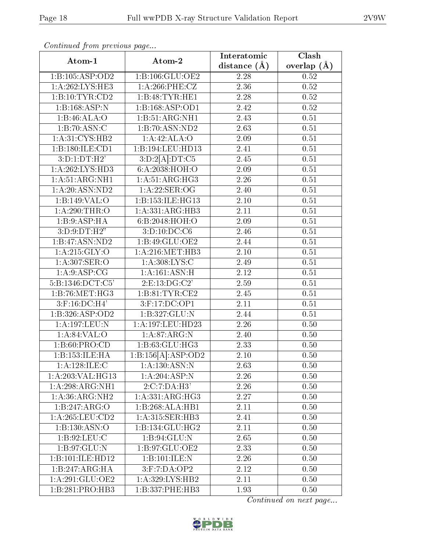| Atom-1                            | Atom-2                     | Interatomic       | Clash             |
|-----------------------------------|----------------------------|-------------------|-------------------|
|                                   |                            | distance $(\AA)$  | overlap $(A)$     |
| 1:B:105:ASP:OD2                   | $1:$ B:106:GLU:OE2         | 2.28              | 0.52              |
| 1:A:262:LYS:HE3                   | $1: A:266:$ PHE:CZ         | $\overline{2.36}$ | 0.52              |
| 1:B:10:TYR:CD2                    | 1:B:48:TYR:HE1             | 2.28              | 0.52              |
| $1:B:168.\overline{ASP:N}$        | 1:B:168:ASP:OD1            | 2.42              | $0.52\,$          |
| 1:B:46:ALA:O                      | 1:B:51:ARG:NH1             | 2.43              | $\overline{0.51}$ |
| 1:B:70:ASN:C                      | 1:B:70:ASN:ND2             | 2.63              | 0.51              |
| 1: A:31:CYS:HB2                   | 1:A:42:ALA:O               | 2.09              | $0.51\,$          |
| 1:B:180:ILE:CD1                   | 1:B:194:LEU:HD13           | 2.41              | $0.51\,$          |
| 3:D:1:DT:H2'                      | 3:D:2[A]:DT:C5             | 2.45              | 0.51              |
| 1:A:262:LYS:HD3                   | 6:A:2038:HOH:O             | 2.09              | 0.51              |
| 1: A:51: ARG: NH1                 | 1: A:51: ARG:HG3           | 2.26              | 0.51              |
| 1:A:20:ASN:ND2                    | 1:A:22:SER:OG              | 2.40              | $0.51\,$          |
| 1:B:149:VAL:O                     | 1:B:153:ILE:HG13           | 2.10              | 0.51              |
| $1:A:290:\overline{\text{THR:O}}$ | 1: A: 331: ARG: HB3        | 2.11              | 0.51              |
| 1:B:9:ASP:HA                      | 6:B:2048:HOH:O             | 2.09              | 0.51              |
| 3: D:9: DT:H2"                    | 3: D: 10: DC: C6           | 2.46              | 0.51              |
| 1:B:47:ASN:ND2                    | 1:B:49:GLU:OE2             | 2.44              | $0.51\,$          |
| 1:A:215:GLY:O                     | 1: A:216: MET:HB3          | 2.10              | 0.51              |
| $1:\overline{A:307:SER:O}$        | 1: A:308: LYS:C            | 2.49              | 0.51              |
| 1: A:9: ASP:CG                    | 1: A:161: ASN:H            | 2.12              | 0.51              |
| 5:B:1346:DCT:C5'                  | 2:E:13:DG:C2'              | 2.59              | $\overline{0.51}$ |
| 1:B:76:MET:HG3                    | 1:B:81:TYR:CE2             | 2.45              | $0.51\,$          |
| 3:F:16:DC:H4'                     | 3:F:17:DC:OP1              | 2.11              | 0.51              |
| 1:B:326:ASP:OD2                   | $1:B:327:\overline{GLU:N}$ | 2.44              | 0.51              |
| 1:A:197:LEU:N                     | 1:A:197:LEU:HD23           | 2.26              | 0.50              |
| 1: A:84:VAL:O                     | 1:A:87:ARG:N               | 2.40              | 0.50              |
| 1: B:60: PRO:CD                   | 1:B:63:GLU:HG3             | 2.33              | 0.50              |
| 1:B:153:ILE:HA                    | 1:B:156[A]:ASP:OD2         | 2.10              | 0.50              |
| 1:A:128:ILE:C                     | 1: A: 130: ASN: N          | 2.63              | 0.50              |
| 1: A:203: VAL:HG13                | 1: A:204: ASP: N           | 2.26              | 0.50              |
| 1:A:298:ARG:NH1                   | 2:C:7:DA:H3'               | 2.26              | 0.50              |
| 1: A:36: ARG: NH2                 | 1: A: 331: ARG: HG3        | 2.27              | 0.50              |
| 1:B:247:ARG:O                     | 1:B:268:ALA:HB1            | 2.11              | 0.50              |
| 1: A:265:LEU:CD2                  | 1:A:315:SER:HB3            | 2.41              | 0.50              |
| 1:B:130:ASN:O                     | 1:B:134:GLU:HG2            | 2.11              | 0.50              |
| 1: B:92: LEU: C                   | 1:B:94:GLU:N               | 2.65              | 0.50              |
| 1: B:97: GLU:N                    | 1:B:97:GLU:OE2             | 2.33              | 0.50              |
| 1:B:101:ILE:HD12                  | 1:B:101:ILE:N              | 2.26              | 0.50              |
| 1:B:247:ARG:HA                    | $3:$ F:7:DA:OP2            | 2.12              | 0.50              |
| 1:A:291:GLU:OE2                   | 1:A:329:LYS:HB2            | 2.11              | 0.50              |
| 1:B:281:PRO:HB3                   | 1:B:337:PHE:HB3            | 1.93              | 0.50              |

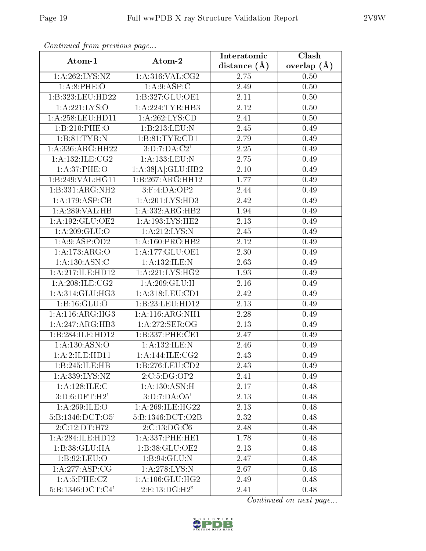| Atom-1                                   | Atom-2                             | Interatomic       | Clash         |
|------------------------------------------|------------------------------------|-------------------|---------------|
|                                          |                                    | distance $(A)$    | overlap $(A)$ |
| 1:A:262:LYS:NZ                           | 1: A:316: VAL: CG2                 | 2.75              | 0.50          |
| 1: A:8: PHE:O                            | 1: A:9: ASP:C                      | 2.49              | 0.50          |
| 1:B:323:LEU:HD22                         | 1:B:327:GLU:OE1                    | 2.11              | 0.50          |
| 1:A:221:LYS:O                            | 1: A:224:TYR:HB3                   | 2.12              | 0.50          |
| 1:A:258:LEU:HD11                         | $1:A:262:\overline{\text{LYS:CD}}$ | 2.41              | 0.50          |
| 1:B:210:PHE:O                            | 1:B:213:LEU:N                      | 2.45              | 0.49          |
| 1:B:81:TYR:N                             | 1:B:81:TYR:CD1                     | 2.79              | 0.49          |
| 1: A: 336: ARG: HH22                     | 3:D:7:DA:C2'                       | 2.25              | 0.49          |
| 1:A:132:ILE:CG2                          | 1:A:133:LEU:N                      | 2.75              | 0.49          |
| 1: A:37:PHE:O                            | 1:A:38[A]:GLU:HB2                  | 2.10              | 0.49          |
| 1:B:249:VAL:HG11                         | 1:B:267:ARG:HH12                   | 1.77              | 0.49          |
| 1:B:331:ARG:NH2                          | 3:F:4:DA:OP2                       | 2.44              | 0.49          |
| 1:A:179:ASP:CB                           | 1: A:201:LYS:HD3                   | 2.42              | 0.49          |
| 1:A:289:VAL:HB                           | 1:A:332:ARG:HB2                    | 1.94              | 0.49          |
| 1:A:192:GLU:OE2                          | 1: A: 193: LYS: HE2                | 2.13              | 0.49          |
| 1:A:209:GLU:O                            | 1: A:212:LYS:N                     | 2.45              | 0.49          |
| 1:A.9:ASP:OD2                            | 1:A:160:PRO:HB2                    | 2.12              | 0.49          |
| 1:A:173:ARG:O                            | 1: A: 177: GLU: OE1                | 2.30              | 0.49          |
| 1: A: 130: ASN: C                        | 1:A:132:ILE:N                      | 2.63              | 0.49          |
| $1:\overline{A}:217:\iota\text{LE}:HD12$ | 1: A:221: LYS: HG2                 | 1.93              | 0.49          |
| 1: A:208: ILE:CG2                        | 1:A:209:GLU:H                      | 2.16              | 0.49          |
| 1: A:314: GLU:HG3                        | 1:A:318:LEU:CD1                    | 2.42              | 0.49          |
| 1: B: 16: GLU: O                         | 1:B:23:LEU:HD12                    | 2.13              | 0.49          |
| 1: A:116: ARG: HG3                       | 1:A:116:ARG:NH1                    | 2.28              | 0.49          |
| 1:A:247:ARG:HB3                          | 1:A:272:SER:OG                     | 2.13              | 0.49          |
| 1:B:284:ILE:HD12                         | 1:B:337:PHE:CE1                    | 2.47              | 0.49          |
| 1:A:130:ASN:O                            | 1:A:132:ILE:N                      | 2.46              | 0.49          |
| 1:A:2:ILE:HD11                           | 1: A:144: ILE: CG2                 | 2.43              | 0.49          |
| 1:B:245:ILE:HB                           | 1: B: 276: LEU: CD2                | 2.43              | 0.49          |
| 1:A:339:LYS:NZ                           | 2:C:5:DG:OP2                       | 2.41              | 0.49          |
| 1:A:128:ILE:C                            | 1: A: 130: ASN:H                   | $\overline{2.17}$ | 0.48          |
| 3: D:6: DFT:H2'                          | 3:D:7:DA:O5'                       | 2.13              | 0.48          |
| 1: A:269: ILE:O                          | 1:A:269:ILE:HG22                   | 2.13              | 0.48          |
| 5: B: 1346: DCT: O5'                     | 5:B:1346:DCT:O2B                   | 2.32              | 0.48          |
| 2:C:12:DT:H72                            | 2:C:13:DG:C6                       | 2.48              | 0.48          |
| 1: A:284: ILE: HD12                      | 1: A: 337: PHE: HE1                | 1.78              | 0.48          |
| 1:B:38:GLU:HA                            | 1:B:38:GLU:OE2                     | 2.13              | 0.48          |
| 1:B:92:LEU:O                             | 1:B:94:GLU:N                       | 2.47              | 0.48          |
| 1: A:277: ASP:CG                         | 1: A:278:LYS:N                     | 2.67              | 0.48          |
| 1: A:5: PHE: CZ                          | 1: A: 106: GLU: HG2                | 2.49              | 0.48          |
| 5:B:1346:DCT:C4'                         | 2:E:13:DG:H2"                      | 2.41              | 0.48          |

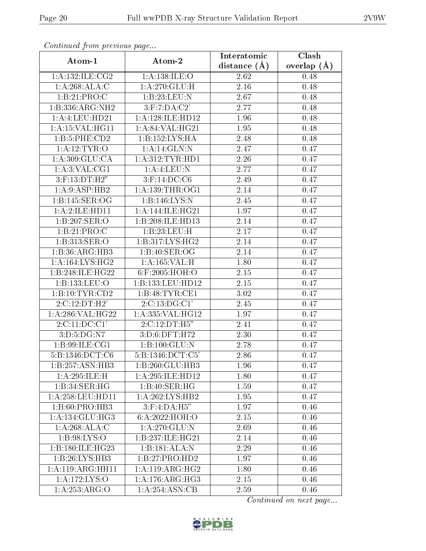| . <i>, , ,</i> . <i>,</i> .<br>Atom-2<br>Atom-1 |                               | Interatomic      | Clash         |
|-------------------------------------------------|-------------------------------|------------------|---------------|
|                                                 |                               | distance $(\AA)$ | overlap $(A)$ |
| 1: A: 132: ILE: CG2                             | 1: A: 138: ILE: O             | 2.62             | 0.48          |
| 1: A:268:ALA:C                                  | 1:A:270:GLU:H                 | $2.16\,$         | 0.48          |
| 1:B:21:PRO:C                                    | 1:B:23:LEU:N                  | 2.67             | 0.48          |
| 1:B:336:ARG:NH2                                 | $3:$ F:7:DA:C2'               | 2.77             | 0.48          |
| 1:A:4:LEU:HD21                                  | 1:A:128:ILE:HD12              | 1.96             | 0.48          |
| 1: A:15: VAL:HGI1                               | 1: A:84:VAL:HG21              | 1.95             | 0.48          |
| 1: B:5: PHE:CD2                                 | 1:B:152:LYS:HA                | 2.48             | 0.48          |
| 1: A:12:TYR:O                                   | 1: A:14: GLN:N                | 2.47             | 0.47          |
| 1: A:309: GLU:CA                                | 1: A: 312: TYR: HD1           | 2.26             | 0.47          |
| 1: A:3: VAL:CG1                                 | 1:A:4:LEU:N                   | 2.77             | 0.47          |
| $3:$ F:13:DT:H2"                                | 3:F:14:DC:C6                  | 2.49             | 0.47          |
| 1:A:9:ASP:HB2                                   | 1: A: 139: THR: OG1           | 2.14             | 0.47          |
| 1: B:145: SER:OG                                | 1:B:146:LYS:N                 | 2.45             | 0.47          |
| 1:A:2:ILE:HD11                                  | 1: A:144: ILE: HG21           | 1.97             | 0.47          |
| 1:B:207:SER:O                                   | 1:B:208:ILE:HD13              | 2.14             | 0.47          |
| 1:B:21:PRO:C                                    | 1:B:23:LEU:H                  | 2.17             | 0.47          |
| 1:B:313:SER:O                                   | 1: B:317: LYS: HG2            | 2.14             | 0.47          |
| 1:B:36:ARG:HB3                                  | 1:B:40:SER:OG                 | 2.14             | 0.47          |
| 1: A: 164: LYS: HG2                             | 1: A: 165: VAL:H              | 1.80             | 0.47          |
| 1:B:248:ILE:HG22                                | 6:F:2005:HOH:O                | 2.15             | 0.47          |
| 1:B:133:LEU:O                                   | 1:B:133:LEU:HD12              | 2.15             | 0.47          |
| 1:B:10:TYR:CD2                                  | 1:B:48:TYR:CE1                | 3.02             | 0.47          |
| 2:C:12:DT:H2'                                   | 2:C:13:DG:C1'                 | 2.45             | 0.47          |
| 1:A:286:VAL:HG22                                | 1:A:335:VAL:HG12              | 1.97             | 0.47          |
| 2:C:11:DC:CI'                                   | 2:C:12:DT:H5"                 | 2.41             | 0.47          |
| 3:D:5:DG:N7                                     | 3:D:6:DFT:H72                 | 2.30             | 0.47          |
| 1: B:99: ILE: CG1                               | 1:B:100:GLU:N                 | 2.78             | 0.47          |
| 5: B: 1346: DCT: C6                             | $5:B:1346:DCT:\overline{C5'}$ | 2.86             | 0.47          |
| 1:B:257:ASN:HB3                                 | 1:B:260:GLU:HB3               | 1.96             | 0.47          |
| 1: A:295: ILE:H                                 | 1:A:295:ILE:HD12              | 1.80             | 0.47          |
| 1:B:34:SER:HG                                   | 1:B:40:SER:HG                 | 1.59             | 0.47          |
| 1: A:258:LEU:HD11                               | 1:A:262:LYS:HB2               | 1.95             | 0.47          |
| 1:B:60:PRO:HB3                                  | $3:$ F:4:DA:H5"               | 1.97             | 0.46          |
| 1: A:134: GLU: HG3                              | 6:A:2022:HOH:O                | 2.15             | 0.46          |
| 1: A:268:ALA:C                                  | 1:A:270:GLU:N                 | 2.69             | 0.46          |
| 1:B:98:LYS:O                                    | 1:B:237:ILE:HG21              | 2.14             | 0.46          |
| 1:B:180:ILE:HG23                                | 1:B:181:ALA:N                 | 2.29             | 0.46          |
| 1:B:26:LYS:HB3                                  | 1:B:27:PRO:HD2                | 1.97             | 0.46          |
| 1:A:119:ARG:HH11                                | $1:A:119:AR\overline{G:HG2}$  | 1.80             | 0.46          |
| 1: A:172: LYS:O                                 | 1: A:176: ARG: HG3            | 2.15             | 0.46          |
| 1:A:253:ARG:O                                   | 1:A:254:ASN:CB                | 2.59             | 0.46          |

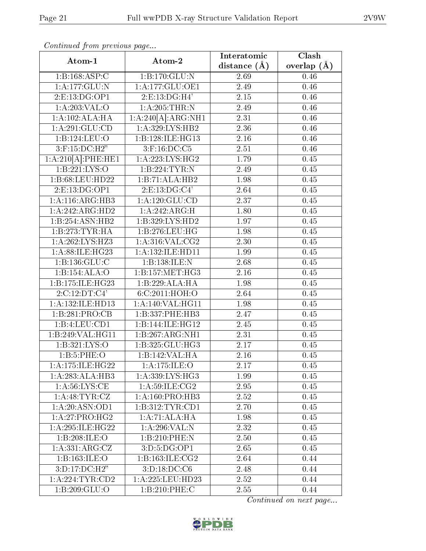| Atom-1                                 | Atom-2                    | Interatomic      | $\overline{\text{Clash}}$ |
|----------------------------------------|---------------------------|------------------|---------------------------|
|                                        |                           | distance $(\AA)$ | overlap $(A)$             |
| 1:B:168:ASP:C                          | 1:B:170:GLU:N             | 2.69             | 0.46                      |
| 1:A:177:GLU:N                          | 1: A: 177: GLU: OE1       | 2.49             | 0.46                      |
| 2:E:13:DG:OP1                          | 2:E:13:DG:H4'             | 2.15             | 0.46                      |
| 1: A:203:VAL:O                         | $1:A:205$ : THR:N         | 2.49             | 0.46                      |
| 1:A:102:ALA:HA                         | 1:A:240[A]:ARG:NH1        | 2.31             | 0.46                      |
| 1: A:291: GLU:CD                       | 1:A:329:LYS:HB2           | 2.36             | 0.46                      |
| 1:B:124:LEU:O                          | 1:B:128:ILE:HG13          | 2.16             | 0.46                      |
| $3:$ F:15:D $\overline{\text{C:H2}}$ " | $3:$ F:16:DC:C5           | 2.51             | 0.46                      |
| $1:A:210[A]:$ PHE:HE1                  | 1: A: 223: LYS: HG2       | 1.79             | 0.45                      |
| 1:B:221:LYS:O                          | 1:B:224:TYR:N             | 2.49             | 0.45                      |
| 1:B:68:LEU:HD22                        | 1:B:71:ALA:HB2            | 1.98             | 0.45                      |
| 2: E: 13: DG: OP1                      | 2: E: 13: DG: C4'         | 2.64             | 0.45                      |
| 1: A:116: ARG:HB3                      | 1:A:120:GLU:CD            | 2.37             | 0.45                      |
| 1:A:242:ARG:HD2                        | 1:A:242:ARG:H             | 1.80             | 0.45                      |
| 1:B:254:ASN:HB2                        | 1:B:329:LYS:HD2           | 1.97             | 0.45                      |
| 1:B:273:TYR:HA                         | 1:B:276:LEU:HG            | 1.98             | 0.45                      |
| 1:A:262:LYS:HZ3                        | 1: A:316: VAL: CG2        | 2.30             | 0.45                      |
| 1:A:88:ILE:HG23                        | 1:A:132:ILE:HD11          | 1.99             | 0.45                      |
| 1:B:136:GLU:C                          | 1:B:138:ILE:N             | 2.68             | 0.45                      |
| 1:B:154:ALA:O                          | 1:B:157:MET:HG3           | 2.16             | 0.45                      |
| 1:B:175:ILE:HG23                       | 1:B:229:ALA:HA            | 1.98             | 0.45                      |
| 2:C:12:DT:C4'                          | 6:C:2011:HOH:O            | 2.64             | 0.45                      |
| 1:A:132:ILE:HD13                       | 1:A:140:VAL:HG11          | 1.98             | 0.45                      |
| 1:B:281:PRO:CB                         | 1:B:337:PHE:HB3           | 2.47             | 0.45                      |
| 1:B:4:LEU:CD1                          | 1:B:144:ILE:HG12          | 2.45             | 0.45                      |
| 1:B:249:VAL:HG11                       | 1:B:267:ARG:NH1           | 2.31             | 0.45                      |
| 1:B:321:LYS:O                          | 1:B:325:GLU:HG3           | 2.17             | 0.45                      |
| 1: B:5: PHE:O                          | 1:B:142:VAL:H A           | 2.16             | 0.45                      |
| 1:A:175:ILE:HG22                       | 1: A:175: ILE: O          | 2.17             | 0.45                      |
| 1:A:283:ALA:HB3                        | 1: A: 339: LYS: HG3       | 1.99             | 0.45                      |
| 1: A:56: LYS:CE                        | 1: A:59: ILE: CG2         | 2.95             | 0.45                      |
| 1: A: 48: TYR: CZ                      | 1:A:160:PRO:HB3           | 2.52             | 0.45                      |
| 1:A:20:ASN:OD1                         | 1:B:312:TYR:CD1           | 2.70             | 0.45                      |
| 1:A:27:PRO:HG2                         | 1:A:71:ALA:HA             | 1.98             | 0.45                      |
| 1:A:295:ILE:HG22                       | 1:A:296:VAL:N             | 2.32             | 0.45                      |
| 1:B:208:ILE:O                          | 1:B:210:PHE:N             | 2.50             | 0.45                      |
| 1: A: 331: ARG: CZ                     | 3:D:5:DG:OP1              | 2.65             | 0.45                      |
| 1:B:163:ILE:O                          | 1:B:163:ILE:CG2           | 2.64             | 0.44                      |
| 3:D:17:D C:H2"                         | 3:D:18:D <sub>C</sub> :C6 | 2.48             | 0.44                      |
| 1: A:224:TYR:CD2                       | 1:A:225:LEU:HD23          | 2.52             | 0.44                      |
| 1:B:209:GLU:O                          | 1:B:210:PHE:C             | 2.55             | 0.44                      |

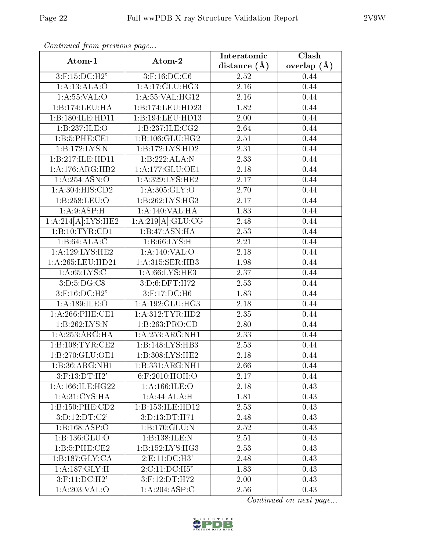|                             |                       | Interatomic      | Clash         |
|-----------------------------|-----------------------|------------------|---------------|
| Atom-1                      | Atom-2                | distance $(\AA)$ | overlap $(A)$ |
| $3:$ F:15:DC:H2"            | $3:$ F:16:DC:C6       | 2.52             | 0.44          |
| 1: A: 13: ALA: O            | 1: A:17: GLU: HG3     | 2.16             | 0.44          |
| 1: A:55:VAL:O               | 1: A:55: VAL:HG12     | 2.16             | 0.44          |
| 1:B:174:LEU:HA              | 1:B:174:LEU:HD23      | 1.82             | 0.44          |
| 1:B:180:ILE:HD11            | 1:B:194:LEU:HD13      | 2.00             | 0.44          |
| 1:B:237:ILE:O               | 1:B:237:ILE:CG2       | 2.64             | 0.44          |
| 1: B:5:PHE:CE1              | 1:B:106:GLU:HG2       | 2.51             | 0.44          |
| 1:B:172:LYS:N               | 1:B:172:LYS:HD2       | 2.31             | 0.44          |
| 1:B:217:ILE:HD11            | 1:B:222:ALA:N         | 2.33             | 0.44          |
| 1:A:176:ARG:HB2             | 1:A:177:GLU:OE1       | 2.18             | 0.44          |
| 1:A:254:ASN:O               | 1:A:329:LYS:HE2       | 2.17             | 0.44          |
| 1: A:304: HIS: CD2          | 1: A:305: GLY:O       | 2.70             | 0.44          |
| 1:B:258:LEU:O               | 1:B:262:LYS:HG3       | 2.17             | 0.44          |
| 1:A:9:ASP:H                 | 1:A:140:VAL:HA        | 1.83             | 0.44          |
| 1:A:214[A]:LYS:HE2          | 1:A:219[A]:GLU:CG     | 2.48             | 0.44          |
| 1:B:10:TYR:CD1              | 1:B:47:ASN:HA<br>2.53 |                  | 0.44          |
| 1:B:64:ALA:C                | 1: B:66: LYS:H        | 2.21             | 0.44          |
| 1: A: 129: LYS: HE2         | 1:A:140:VAL:O         | 2.18             | 0.44          |
| 1:A:265:LEU:HD21            | 1:A:315:SER:HB3       | 1.98             | 0.44          |
| 1: A:65:LYS:C               | 1: A:66: LYS: HE3     | 2.37             | 0.44          |
| 3: D: 5: DG: C8             | 3:D:6:DFT:H72         | 2.53             | 0.44          |
| $3:$ F:16:DC:H2"            | 3:F:17:DC:H6          | 1.83             | 0.44          |
| 1:A:189:ILE:O               | 1:A:192:GLU:HG3       | 2.18             | 0.44          |
| 1:A:266:PHE:CE1             | 1: A: 312: TYR: HD2   | 2.35             | 0.44          |
| 1:B:262:LYS:N               | 1:B:263:PRO:CD        | 2.80             | 0.44          |
| 1: A:253:ARG:HA             | 1:A:253:ARG:NH1       | 2.33             | 0.44          |
| 1: B: 108: TYR: CE2         | 1:B:148:LYS:HB3       | 2.53             | 0.44          |
| 1:B:270:GLU:OE1             | 1:B:308:LYS:HE2       | 2.18             | 0.44          |
| $1:B:36:ARG:\overline{NH1}$ | 1:B:331:ARG:NH1       | 2.66             | 0.44          |
| 3:F:13:DT:H2'               | $6:$ F:2010:HOH:O     | 2.17             | 0.44          |
| 1: A: 166: ILE: HG22        | 1: A: 166: ILE: O     | 2.18             | 0.43          |
| 1: A:31: CYS: HA            | 1:A:44:ALA:H          | 1.81             | 0.43          |
| 1:B:150:PHE:CD2             | 1:B:153:ILE:HD12      | 2.53             | 0.43          |
| 3:D:12:DT:C2'               | 3:D:13:DT:H71         | 2.48             | 0.43          |
| 1:B:168:ASP:O               | 1:B:170:GLU:N         | 2.52             | 0.43          |
| 1:B:136:GLU:O               | 1:B:138:ILE:N         | 2.51             | 0.43          |
| 1:B:5:PHE:CE2               | 1:B:152:LYS:HG3       | 2.53             | 0.43          |
| 1:B:187:GLY:CA              | 2: E: 11: DC: H3'     | 2.48             | 0.43          |
| $1:A:187:GLY:\overline{H}$  | 2:C:11:DC:H5"         | 1.83             | 0.43          |
| $3:$ F:11:DC:H $2$          | 3:F:12:DT:H72         | 2.00             | 0.43          |
| 1:A:203:VAL:O               | 1:A:204:ASP:C         | 2.56             | 0.43          |

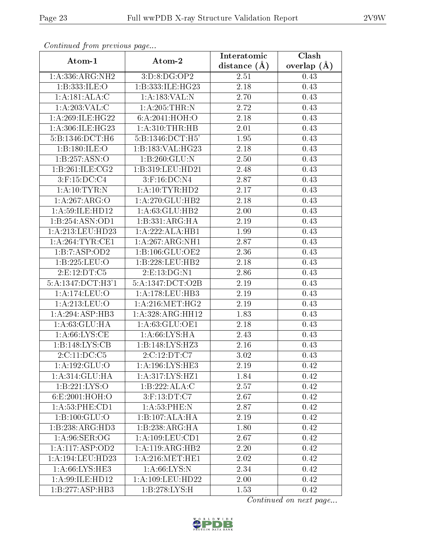| Atom-1                       | Atom-2               | Interatomic      | Clash         |
|------------------------------|----------------------|------------------|---------------|
|                              |                      | distance $(\AA)$ | overlap $(A)$ |
| 1:A:336:ARG:NH2              | 3:D:8:DG:OP2         | 2.51             | 0.43          |
| 1:B:333:ILE:O                | 1:B:333:ILE:HG23     | 2.18             | 0.43          |
| 1: A:181: ALA: C             | 1:A:183:VAL:N        | 2.70             | 0.43          |
| 1: A:203:VAL: C              | 1:A:205:THR:N        | 2.72             | 0.43          |
| 1: A:269: ILE:HG22           | 6: A:2041:HOH:O      | 2.18             | 0.43          |
| 1:A:306:ILE:HG23             | 1: A:310:THR:HB      | 2.01             | 0.43          |
| $5:B:1346:\overline{DCT:H6}$ | 5:B:1346:DCT:H5'     | 1.95             | 0.43          |
| 1:B:180:ILE:O                | 1:B:183:VAL:HG23     | 2.18             | 0.43          |
| 1:B:257:ASN:O                | 1:B:260:GLU:N        | 2.50             | 0.43          |
| 1:B:261:ILE:CG2              | 1:B:319:LEU:HD21     | 2.48             | 0.43          |
| $3:$ F:15:DC:C4              | 3:F:16:DC:N4         | 2.87             | 0.43          |
| 1:A:10:TYR:N                 | 1:A:10:TYR:HD2       | 2.17             | 0.43          |
| 1:A:267:ARG:O                | 1: A:270: GLU:HB2    | 2.18             | 0.43          |
| 1: A:59: ILE: HD12           | 1:A:63:GLU:HB2       | 2.00             | 0.43          |
| 1:B:254:A SN:OD1             | 1: B: 331: ARG: HA   | 2.19             | 0.43          |
| 1:A:213:LEU:HD23             | 1:A:222:ALA:HB1      | 1.99             | 0.43          |
| 1: A:264:TYR:CE1             | 1:A:267:ARG:NH1      | 2.87             | 0.43          |
| 1:B:7:ASP:OD2                | 1:B:106:GLU:OE2      | 2.36             | 0.43          |
| 1:B:225:LEU:O                | 1:B:228:LEU:HB2      | 2.18             | 0.43          |
| 2: E: 12: DT: C5             | 2:E:13:DG:N1         | 2.86             | 0.43          |
| 5:A:1347:DCT:H3'1            | 5:A:1347:DCT:O2B     | 2.19             | 0.43          |
| 1:A:174:LEU:O                | 1:A:178:LEU:HB3      | 2.19             | 0.43          |
| 1:A:213:LEU:O                | 1: A:216:MET:HG2     | 2.19             | 0.43          |
| 1: A:294: ASP:HB3            | 1:A:328:ARG:HH12     | 1.83             | 0.43          |
| 1: A:63: GLU: HA             | 1:A:63:GLU:OE1       | 2.18             | 0.43          |
| 1: A:66: LYS:CE              | 1: A:66: LYS: HA     | 2.43             | 0.43          |
| 1:B:148:LYS:CB               | 1:B:148:LYS:HZ3      | 2.16             | 0.43          |
| 2:C:11:DC:C5                 | 2:C:12:DT:C7         | 3.02             | 0.43          |
| 1:A:192:GLU:O                | 1: A:196: LYS: HE3   | 2.19             | 0.42          |
| 1:A:314:GLU:HA               | 1:A:317:LYS:HZ1      | 1.84             | 0.42          |
| 1:B:221:LYS:O                | 1:B:222:ALA:C        | 2.57             | 0.42          |
| 6:E:2001:HOH:O               | $3:$ F:13:DT:C7      | 2.67             | 0.42          |
| 1:A:53:PHE:CD1               | 1: A:53:PHE:N        | 2.87             | 0.42          |
| 1:B:100:GLU:O                | 1:B:107:ALA:HA       | 2.19             | 0.42          |
| 1:B:238:ARG:HD3              | 1:B:238:ARG:HA       | 1.80             | 0.42          |
| 1: A:96: SER:OG              | 1: A: 109: LEU: CD1  | 2.67             | 0.42          |
| 1:A:117:ASP:OD2              | 1:A:119:ARG:HB2      | 2.20             | 0.42          |
| 1:A:194:LEU:HD23             | 1: A:216: MET:HE1    | 2.02             | 0.42          |
| 1: A:66: LYS: HE3            | 1: A:66: LYS: N      | 2.34             | 0.42          |
| 1: A:99: ILE: HD12           | 1: A: 109: LEU: HD22 | 2.00             | 0.42          |
| 1:B:277:ASP:HB3              | 1:B:278:LYS:H        | 1.53             | 0.42          |

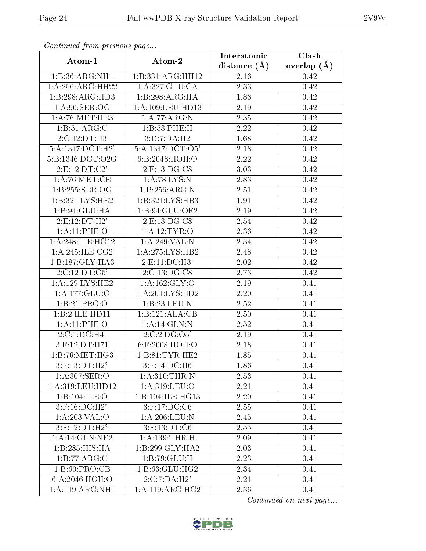| Atom-1                       |                                      | Interatomic       | Clash         |
|------------------------------|--------------------------------------|-------------------|---------------|
|                              | Atom-2                               | distance $(A)$    | overlap $(A)$ |
| 1:B:36:ARG:NH1               | 1:B:331:ARG:HH12                     | 2.16              | 0.42          |
| 1:A:256:ARG:HH22             | 1: A:327: GLU:CA                     | 2.33              | 0.42          |
| 1:B:298:ARG:HD3              | 1:B:298:ARG:HA                       | 1.83              | 0.42          |
| 1: A:96: SER:OG              | 1:A:109:LEU:HD13                     | $2.19\,$          | 0.42          |
| 1: A:76:MET:HE3              | 1:A:77:ARG:N                         | 2.35              | 0.42          |
| 1:B:51:ARG:C                 | 1:B:53:PHE:H                         | 2.22              | 0.42          |
| 2:C:12:DT:H3                 | 3:D:7:DA:H2                          | 1.68              | 0.42          |
| 5:A:1347:DCT:H2'             | 5:A:1347:DCT:O5'                     | 2.18              | 0.42          |
| 5:B:1346:DCT:O2G             | 6:B:2048:HOH:O                       | 2.22              | 0.42          |
| 2: E: 12: DT: C2'            | $2: E: 13: \overline{DG:CS}$         | 3.03              | 0.42          |
| $1:$ A:76:MET:CE             | $1:$ A:78:LYS:N                      | 2.83              | 0.42          |
| 1:B:255:SER:OG               | 1:B:256:ARG:N                        | 2.51              | 0.42          |
| 1:B:321:LYS:HE2              | 1: B:321: LYS: HB3                   | 1.91              | 0.42          |
| 1:B:94:GLU:HA                | 1:B:94:GLU:OE2                       | 2.19              | 0.42          |
| 2: E: 12: DT: H2'            | 2: E: 13: DG: C8                     | 2.54              | 0.42          |
| 1:A:11:PHE:O                 | 1: A:12:TYR:O                        | 2.36              | 0.42          |
| 1: A:248: ILE: HG12          | 1:A:249:VAL:N                        | 2.34              | 0.42          |
| 1: A:245: ILE: CG2           | 1:A:275:LYS:HB2                      | 2.48              | 0.42          |
| 1:B:187:GLY:HA3              | $2:E:11:DC:\overline{H3'}$           | 2.02              | 0.42          |
| 2:C:12:DT:O5'                | 2:C:13:DG:CS                         | 2.73              | 0.42          |
| 1: A: 129: LYS: HE2          | 1: A: 162: GLY: O                    | 2.19              | 0.41          |
| 1:A:177:GLU:O                | 1:A:201:LYS:HD2                      | 2.20              | 0.41          |
| 1:B:21:PRO:O                 | 1:B:23:LEU:N                         | 2.52              | 0.41          |
| 1:B:2:ILE:HD11               | $1:B:121:\overline{\mathrm{ALA:CB}}$ | 2.50              | 0.41          |
| 1:A:11:PHE:O                 | 1:A:14:GLN:N                         | 2.52              | 0.41          |
| 2:C:1:DG:H4'                 | 2:C:2:DG:O5'                         | 2.19              | 0.41          |
| 3:F:12:DT:H71                | $6:$ F:2008:HOH:O                    | 2.18              | 0.41          |
| 1:B:76:MET:HG3               | 1: B:81: TYR: HE2                    | 1.85              | 0.41          |
| $3:$ F:13:DT:H2"             | $3:$ F:14:DC:H6                      | 1.86              | 0.41          |
| 1:A:307:SER:O                | 1: A:310: THEN: N                    | 2.53              | 0.41          |
| 1:A:319:LEU:H <sub>D12</sub> | 1: A:319: LEU:O                      | $\overline{2.21}$ | 0.41          |
| 1:B:104:ILE:O                | 1:B:104:ILE:HG13                     | 2.20              | 0.41          |
| $3:$ F:16:DC:H2"             | $3:$ F:17:DC:C6                      | 2.55              | 0.41          |
| 1: A:203:VAL:O               | 1: A:206:LEU: N                      | 2.45              | 0.41          |
| $3:$ F:12:DT:H2"             | $3:$ F:13:DT:C6                      | 2.55              | 0.41          |
| 1:A:14:GLN:NE2               | 1: A: 139: THR: H                    | 2.09              | 0.41          |
| 1:B:285:HIS:HA               | 1:B:299:GLY:HA2                      | 2.03              | 0.41          |
| 1:B:77:ARG:C                 | 1:B:79:GLU:H                         | 2.23              | 0.41          |
| 1: B:60: PRO:CB              | 1:B:63:GLU:HG2                       | 2.34              | 0.41          |
| 6:A:2046:HOH:O               | 2:C:7:DA:H2'                         | 2.21              | 0.41          |
| $1:A:\overline{119:ARG:NH1}$ | 1:A:119:ARG:HG2                      | 2.36              | 0.41          |

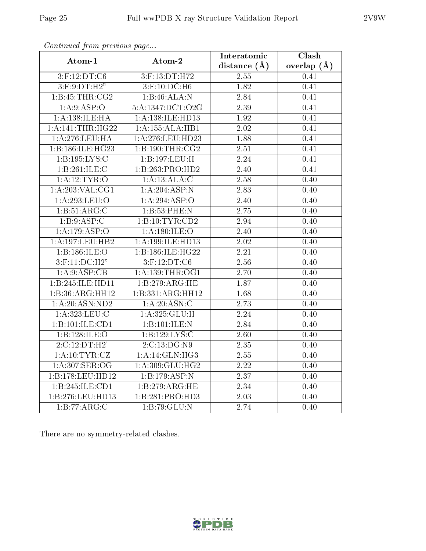| Atom-1              | Atom-2                     | Interatomic       | Clash             |
|---------------------|----------------------------|-------------------|-------------------|
|                     |                            |                   | overlap $(A)$     |
| 3:F:12:DT:C6        | 3:F:13:DT:H72              | 2.55              | 0.41              |
| $3:$ F:9:DT:H2"     | $3:$ F:10:DC:H6            | $\overline{1.82}$ | 0.41              |
| 1:B:45:THR:CG2      | 1:B:46:ALA:N               | 2.84              | 0.41              |
| 1: A:9: ASP:O       | 5:A:1347:DCT:O2G           | $\overline{2.39}$ | 0.41              |
| 1: A: 138: ILE: HA  | 1:A:138:ILE:HD13           | $\overline{1.92}$ | 0.41              |
| 1:A:141:THR:HG22    | 1:A:155:ALA:HB1            | 2.02              | 0.41              |
| 1: A:276: LEU: HA   | 1:A:276:LEU:HD23           | 1.88              | 0.41              |
| 1:B:186:ILE:HG23    | 1: B: 190: THR: CG2        | 2.51              | 0.41              |
| 1:B:195:LYS:C       | 1:B:197:LEU:H              | $\overline{2.24}$ | $\overline{0.41}$ |
| 1:B:261:ILE:C       | 1:B:263:PRO:HD2            | 2.40              | 0.41              |
| 1: A:12:TYR:O       | 1:A:13:ALA:C               | 2.58              | 0.40              |
| 1: A:203:VAL:CG1    | 1: A:204: ASP: N           | 2.83              | 0.40              |
| 1:A:293:LEU:O       | 1:A:294:ASP:O              | 2.40              | 0.40              |
| 1:B:51:ARG:C        | 1:B:53:PHE:N<br>2.75       |                   | 0.40              |
| 1:B:9:ASP:C         | 1:B:10:TYR:CD2             | 2.94              | 0.40              |
| 1:A:179:ASP:O       | 1: A: 180: ILE: O          | $\overline{2.40}$ | 0.40              |
| 1:A:197:LEU:HB2     | 1:A:199:ILE:HD13           | 2.02              | 0.40              |
| 1:B:186:ILE:O       | 1:B:186:ILE:HG22           | $\overline{2.21}$ | 0.40              |
| $3:$ F:11:DC:H2"    | $3:$ F:12:DT:C6            | 2.56              | 0.40              |
| 1:A:9:ASP:CB        | 1: A: 139: THR: OG1        | 2.70              | 0.40              |
| 1:B:245:ILE:HD11    | 1:B:279:ARG:HE             | 1.87              | 0.40              |
| 1:B:36:ARG:HH12     | 1:B:331:ARG:HH12           | 1.68              | 0.40              |
| 1: A:20: ASN:ND2    | 1: A:20: ASN: C            | 2.73              | 0.40              |
| 1:A:323:LEU:C       | 1: A:325: GLU: H           | 2.24              | 0.40              |
| 1:B:101:ILE:CD1     | 1:B:101:ILE:N              | 2.84              | 0.40              |
| 1:B:128:ILE:O       | 1:B:129:LYS:C              | $\overline{2.60}$ | 0.40              |
| 2:C:12:DT:H2'       | 2:C:13:DG:N9               | $\overline{2.35}$ | 0.40              |
| 1: A: 10: TYR: CZ   | 1: A:14: GLN:HG3           | $2.55\,$          | 0.40              |
| 1: A:307: SER:OG    | 1:A:309:GLU:HG2            | 2.22              | 0.40              |
| 1:B:178:LEU:HD12    | $1:B:179:ASP:\overline{N}$ | 2.37              | 0.40              |
| 1: B: 245: ILE: CD1 | 1:B:279:ARG:HE             | 2.34              | 0.40              |
| 1:B:276:LEU:HD13    | 1:B:281:PRO:HD3            | 2.03              | 0.40              |
| 1:B:77:ARG:C        | $1:\overline{B:79:GLU:N}$  | $\overline{2.74}$ | $\overline{0.40}$ |

There are no symmetry-related clashes.



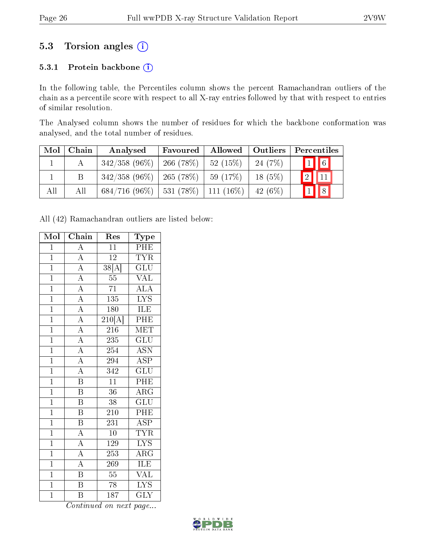### 5.3 Torsion angles (i)

#### 5.3.1 Protein backbone (i)

In the following table, the Percentiles column shows the percent Ramachandran outliers of the chain as a percentile score with respect to all X-ray entries followed by that with respect to entries of similar resolution.

The Analysed column shows the number of residues for which the backbone conformation was analysed, and the total number of residues.

| Mol | Chain | Analysed                                   | Favoured       | Allowed   Outliers |           | Percentiles               |
|-----|-------|--------------------------------------------|----------------|--------------------|-----------|---------------------------|
|     |       | $342/358(96\%)$                            | 266 (78 $\%$ ) | 52(15%)            | 24(7%)    | $\boxed{1}$ 6             |
|     | B     | $342/358$ (96\%)   265 (78\%)              |                | 59 (17%)           | $18(5\%)$ | $\boxed{2}$<br>$\vert$ 11 |
| All | All   | $684/716$ (96\%)   531 (78\%)   111 (16\%) |                |                    | 42 (6\%)  | $\boxed{1}$ $\boxed{8}$   |

All (42) Ramachandran outliers are listed below:

| Mol            | Chain                               | Res                 | Type                               |
|----------------|-------------------------------------|---------------------|------------------------------------|
| $\mathbf{1}$   | $\overline{A}$                      | $\overline{11}$     | $\overline{\text{PHE}}$            |
| $\mathbf{1}$   | $\overline{A}$                      | $\overline{12}$     | $\overline{\text{TYR}}$            |
| $\overline{1}$ |                                     | $\overline{38[A]}$  | $\overline{{\rm GLU}}$             |
| $\overline{1}$ | $\frac{\overline{A}}{A}$            | $\overline{55}$     | VAL                                |
| $\overline{1}$ | $\frac{\overline{A}}{\overline{A}}$ | $\overline{71}$     | $\mathrm{AL}\overline{\mathrm{A}}$ |
| $\overline{1}$ |                                     | $\overline{135}$    | $\overline{\text{LYS}}$            |
| $\overline{1}$ | $\overline{A}$                      | 180                 | ILE                                |
| $\overline{1}$ | $\overline{A}$                      | $\overline{210[A]}$ | PHE                                |
| $\mathbf{1}$   | $\overline{A}$                      | 216                 | $\textrm{MET}$                     |
| $\overline{1}$ | $\overline{A}$                      | 235                 | $\widetilde{{\rm GLU}}$            |
| $\overline{1}$ | $\overline{A}$                      | 254                 | ASN                                |
| $\overline{1}$ | $\overline{A}$                      | 294                 | <b>ASP</b>                         |
| $\overline{1}$ | $\overline{A}$                      | $\overline{342}$    | $\overline{\mathrm{GLU}}$          |
| $\mathbf{1}$   | $\overline{\mathrm{B}}$             | $\overline{11}$     | PHE                                |
| $\overline{1}$ | $\overline{\mathrm{B}}$             | $\overline{36}$     | $\overline{\rm{ARG}}$              |
| $\overline{1}$ | $\overline{\mathbf{B}}$             | $\overline{38}$     | $\overline{\text{GLU}}$            |
| $\overline{1}$ | $\overline{\mathrm{B}}$             | 210                 | PHE                                |
| $\overline{1}$ | $\overline{B}$                      | 231                 | $\overline{\text{ASP}}$            |
| $\overline{1}$ | $\overline{A}$                      | $10\,$              | <b>TYR</b>                         |
| $\overline{1}$ | $\overline{A}$                      | 129                 | $\overline{\text{LYS}}$            |
| $\overline{1}$ | $\overline{A}$                      | 253                 | $\rm{ARG}$                         |
| $\mathbf{1}$   | $\overline{A}$                      | 269                 | $\overline{\text{ILE}}$            |
| $\overline{1}$ | $\overline{\mathbf{B}}$             | $\overline{55}$     | VAL                                |
| $\overline{1}$ | $\overline{\mathbf{B}}$             | 78                  | $\overline{\text{LYS}}$            |
| $\overline{1}$ | $\overline{\mathrm{B}}$             | $\overline{187}$    | $\overline{\text{GLY}}$            |

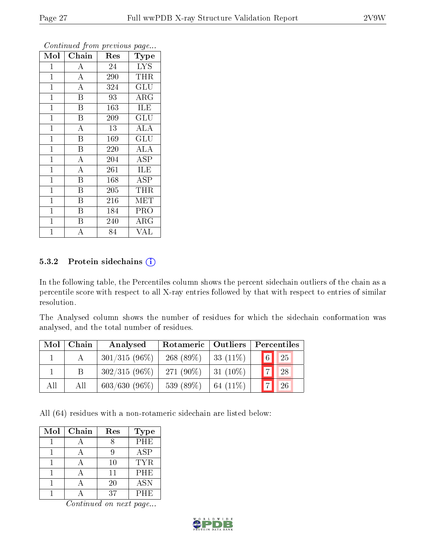| Mol            | Chain                   | Res | Type                    |
|----------------|-------------------------|-----|-------------------------|
| 1              | А                       | 24  | <b>LYS</b>              |
| $\mathbf 1$    | $\boldsymbol{A}$        | 290 | <b>THR</b>              |
| $\mathbf 1$    | $\overline{\rm A}$      | 324 | GLU                     |
| $\mathbf{1}$   | B                       | 93  | $\rm{ARG}$              |
| $\mathbf{1}$   | B                       | 163 | <b>ILE</b>              |
| $\mathbf{1}$   | B                       | 209 | GLU                     |
| $\mathbf{1}$   | $\overline{\rm A}$      | 13  | <b>ALA</b>              |
| $\mathbf{1}$   | $\overline{B}$          | 169 | $\overline{\text{GLU}}$ |
| $\mathbf{1}$   | $\boldsymbol{B}$        | 220 | <b>ALA</b>              |
| $\mathbf{1}$   | $\overline{\rm A}$      | 204 | ASP                     |
| $\mathbf{1}$   | $\overline{\rm A}$      | 261 | ILE                     |
| $\mathbf 1$    | $\overline{\mathrm{B}}$ | 168 | ASP                     |
| $\mathbf 1$    | Β                       | 205 | THR                     |
| $\overline{1}$ | B                       | 216 | MET                     |
| 1              | B                       | 184 | PRO                     |
| $\mathbf 1$    | Β                       | 240 | $\rm{ARG}$              |
| $\overline{1}$ | А                       | 84  | VAL                     |

#### 5.3.2 Protein sidechains (i)

In the following table, the Percentiles column shows the percent sidechain outliers of the chain as a percentile score with respect to all X-ray entries followed by that with respect to entries of similar resolution.

The Analysed column shows the number of residues for which the sidechain conformation was analysed, and the total number of residues.

| Mol | Chain | Rotameric   Outliers  <br>Analysed |             | Percentiles |                                 |  |
|-----|-------|------------------------------------|-------------|-------------|---------------------------------|--|
|     |       | $301/315(96\%)$                    | $268(89\%)$ | 33 $(11\%)$ | $\boxed{6}$ $\boxed{25}$        |  |
|     |       | $302/315(96\%)$                    | $271(90\%)$ | $31(10\%)$  | $\overline{7}$<br><sup>28</sup> |  |
| All | All   | $603/630(96\%)$                    | 539 (89%)   | 64 $(11\%)$ | $\overline{7}$<br>26            |  |

All (64) residues with a non-rotameric sidechain are listed below:

| Mol | Chain | Res | <b>Type</b> |
|-----|-------|-----|-------------|
|     |       |     | PHE         |
|     |       |     | ASP         |
|     |       | 10  | <b>TYR</b>  |
|     |       | 11  | PHE         |
|     |       | 20  | <b>ASN</b>  |
|     |       | 37  | PHE         |

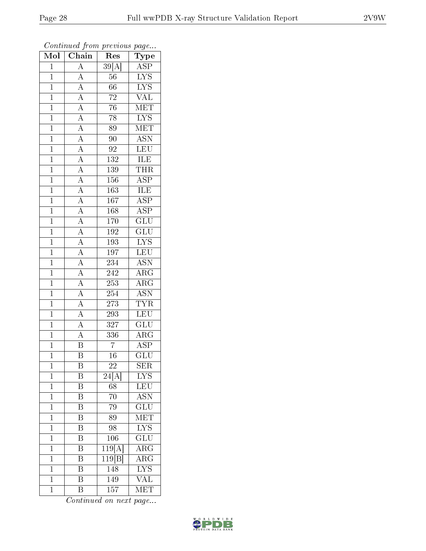| $\overline{\text{Mol}}$ | $\overline{\text{Chain}}$                                                                                                                                                                                                                                                                                                                    | $\mathbf{r}$<br>Res        | $r - 3$<br>Type                 |
|-------------------------|----------------------------------------------------------------------------------------------------------------------------------------------------------------------------------------------------------------------------------------------------------------------------------------------------------------------------------------------|----------------------------|---------------------------------|
| $\mathbf 1$             | $\overline{A}$                                                                                                                                                                                                                                                                                                                               | 39[A]                      | $\overline{\text{ASP}}$         |
| $\overline{1}$          | $\overline{A}$                                                                                                                                                                                                                                                                                                                               | 56                         | $\overline{\text{LYS}}$         |
| $\overline{1}$          |                                                                                                                                                                                                                                                                                                                                              | $\overline{66}$            |                                 |
| $\mathbf{1}$            |                                                                                                                                                                                                                                                                                                                                              | $\sqrt{72}$                | $\frac{\text{LYS}}{\text{VAL}}$ |
| $\overline{1}$          | $\frac{\overline{A}}{\overline{A}}$ $\frac{\overline{A}}{\overline{A}}$                                                                                                                                                                                                                                                                      | $\overline{76}$            | MET                             |
| $\mathbf 1$             |                                                                                                                                                                                                                                                                                                                                              | $\overline{78}$            | $\overline{\text{LYS}}$         |
| $\overline{1}$          |                                                                                                                                                                                                                                                                                                                                              | 89                         | $\overline{\text{MET}}$         |
| $\overline{1}$          |                                                                                                                                                                                                                                                                                                                                              | $90\,$                     | <b>ASN</b>                      |
| $\overline{1}$          |                                                                                                                                                                                                                                                                                                                                              | 92                         | $\overline{\text{LEU}}$         |
| $\overline{1}$          |                                                                                                                                                                                                                                                                                                                                              | 132                        | ILE                             |
| $\overline{1}$          |                                                                                                                                                                                                                                                                                                                                              | 139                        | THR                             |
| $\overline{1}$          |                                                                                                                                                                                                                                                                                                                                              | 156                        | $\overline{\text{ASP}}$         |
| $\overline{1}$          |                                                                                                                                                                                                                                                                                                                                              | 163                        | <b>ILE</b>                      |
| $\mathbf{1}$            |                                                                                                                                                                                                                                                                                                                                              | $\overline{167}$           | $\overline{\text{ASP}}$         |
| $\overline{1}$          | $\frac{\overline{A}}{\overline{A}}\frac{\overline{A}}{\overline{A}}\frac{\overline{A}}{\overline{A}}\frac{\overline{A}}{\overline{A}}\frac{\overline{A}}{\overline{A}}\frac{\overline{A}}{\overline{A}}\frac{\overline{A}}{\overline{A}}\frac{\overline{A}}{\overline{A}}\frac{\overline{A}}{\overline{A}}\frac{\overline{A}}{\overline{A}}$ | 168                        | $\overline{\text{ASP}}$         |
| $\mathbf{1}$            |                                                                                                                                                                                                                                                                                                                                              | 170                        | $\overline{\text{GLU}}$         |
| $\overline{1}$          |                                                                                                                                                                                                                                                                                                                                              | $\overline{192}$           | $\overline{{\rm GLU}}$          |
| $\mathbf{1}$            |                                                                                                                                                                                                                                                                                                                                              | 193                        | $\overline{\text{LYS}}$         |
| $\mathbf{1}$            |                                                                                                                                                                                                                                                                                                                                              | $\overline{197}$           | LEU                             |
| $\mathbf{1}$            |                                                                                                                                                                                                                                                                                                                                              | $\overline{234}$           | <b>ASN</b>                      |
| $\overline{1}$          |                                                                                                                                                                                                                                                                                                                                              | 242                        | $\rm{ARG}$                      |
| $\overline{1}$          |                                                                                                                                                                                                                                                                                                                                              | 253                        | $\overline{\text{ARG}}$         |
| $\mathbf{1}$            |                                                                                                                                                                                                                                                                                                                                              | 254                        | $\overline{\mathrm{ASN}}$       |
| $\overline{1}$          |                                                                                                                                                                                                                                                                                                                                              | 273                        | <b>TYR</b>                      |
| $\overline{1}$          | $\overline{A}$                                                                                                                                                                                                                                                                                                                               | 293                        | $\overline{\text{LEU}}$         |
| $\overline{1}$          | $\overline{A}$                                                                                                                                                                                                                                                                                                                               | 327                        | $\overline{{\rm GLU}}$          |
| $\overline{1}$          | $\overline{A}$                                                                                                                                                                                                                                                                                                                               | 336                        | $\overline{\text{ARG}}$         |
| $\overline{1}$          | $\overline{\mathbf{B}}$                                                                                                                                                                                                                                                                                                                      | $\overline{7}$             | $\overline{\rm ASP}$            |
| $\overline{1}$          | $\overline{\mathrm{B}}$                                                                                                                                                                                                                                                                                                                      | 16                         | $\overline{{\rm GLU}}$          |
| 1                       | Β                                                                                                                                                                                                                                                                                                                                            | 22                         | SER                             |
| $\mathbf{1}$            | Β                                                                                                                                                                                                                                                                                                                                            | 24[A]                      | <b>LYS</b>                      |
| $\mathbf{1}$            | $\overline{\mathbf{B}}$                                                                                                                                                                                                                                                                                                                      | 68                         | $\overline{\text{LEU}}$         |
| $\mathbf{1}$            | B                                                                                                                                                                                                                                                                                                                                            | 70                         | <b>ASN</b>                      |
| $\overline{1}$          | $\overline{\mathrm{B}}$                                                                                                                                                                                                                                                                                                                      | 79                         | $\overline{\text{GLU}}$         |
| $\mathbf{1}$            | B                                                                                                                                                                                                                                                                                                                                            | 89                         | $\widetilde{\text{NET}}$        |
| $\overline{1}$          | $\overline{\mathrm{B}}$                                                                                                                                                                                                                                                                                                                      | $\overline{98}$            | $\overline{\text{LYS}}$         |
| $\mathbf 1$             | $\overline{\mathrm{B}}$                                                                                                                                                                                                                                                                                                                      | 106                        | $\overline{\text{GLU}}$         |
| $\mathbf{1}$            | B                                                                                                                                                                                                                                                                                                                                            | 119[A]                     | $\rm{ARG}$                      |
| $\mathbf 1$             | Β                                                                                                                                                                                                                                                                                                                                            | $\overline{119}[\text{B}]$ | $\rm{ARG}$                      |
| $\mathbf{1}$            | $\overline{\mathrm{B}}$                                                                                                                                                                                                                                                                                                                      | $148\,$                    | $\overline{\text{LYS}}$         |
| $\mathbf 1$             | $\overline{\mathrm{B}}$                                                                                                                                                                                                                                                                                                                      | 149                        | $\overline{\text{VAL}}$         |
| $\mathbf{1}$            | $\overline{\mathrm{B}}$                                                                                                                                                                                                                                                                                                                      | 157                        | MET                             |

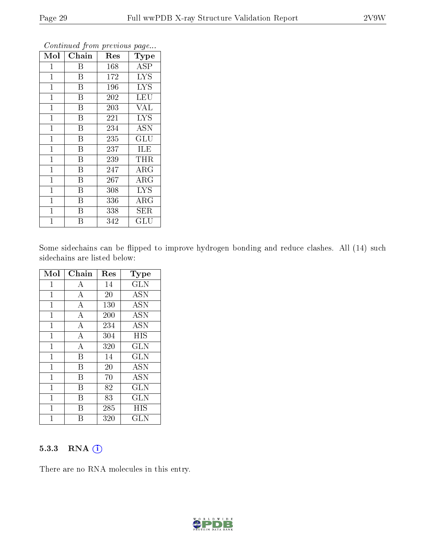| Mol          | Chain          | Res | Type                 |
|--------------|----------------|-----|----------------------|
| 1            | B              | 168 | <b>ASP</b>           |
| $\mathbf{1}$ | Β              | 172 | <b>LYS</b>           |
| $\mathbf{1}$ | B              | 196 | <b>LYS</b>           |
| $\mathbf 1$  | B              | 202 | LEU                  |
| $\mathbf{1}$ | Β              | 203 | <b>VAL</b>           |
| $\mathbf{1}$ | $\overline{B}$ | 221 | <b>LYS</b>           |
| $\mathbf{1}$ | B              | 234 | <b>ASN</b>           |
| $\mathbf{1}$ | B              | 235 | GLU                  |
| $\mathbf 1$  | B              | 237 | ILE                  |
| $\mathbf 1$  | Β              | 239 | THR                  |
| $\mathbf{1}$ | B              | 247 | $\rm{ARG}$           |
| $\mathbf{1}$ | B              | 267 | $\rm{ARG}$           |
| $\mathbf{1}$ | Β              | 308 | <b>LYS</b>           |
| $\mathbf{1}$ | B              | 336 | $\rm{ARG}$           |
| 1            | Β              | 338 | <b>SER</b>           |
| 1            | В              | 342 | $\operatorname{GLU}$ |

Some sidechains can be flipped to improve hydrogen bonding and reduce clashes. All (14) such sidechains are listed below:

| Mol          | Chain            | Res | <b>Type</b>  |
|--------------|------------------|-----|--------------|
| 1            | А                | 14  | $_{\rm GLN}$ |
| $\mathbf{1}$ | A                | 20  | <b>ASN</b>   |
| $\mathbf{1}$ | A                | 130 | <b>ASN</b>   |
| 1            | A                | 200 | <b>ASN</b>   |
| $\mathbf 1$  | A                | 234 | <b>ASN</b>   |
| $\mathbf{1}$ | A                | 304 | HIS          |
| $\mathbf{1}$ | $\boldsymbol{A}$ | 320 | GLN          |
| $\mathbf{1}$ | B                | 14  | <b>GLN</b>   |
| $\mathbf{1}$ | B                | 20  | <b>ASN</b>   |
| 1            | В                | 70  | <b>ASN</b>   |
| $\mathbf{1}$ | В                | 82  | $_{\rm GLN}$ |
| 1            | В                | 83  | <b>GLN</b>   |
| 1            | В                | 285 | HIS          |
| 1            | В                | 320 | GLN          |

#### 5.3.3 RNA [O](https://www.wwpdb.org/validation/2017/XrayValidationReportHelp#rna)i

There are no RNA molecules in this entry.

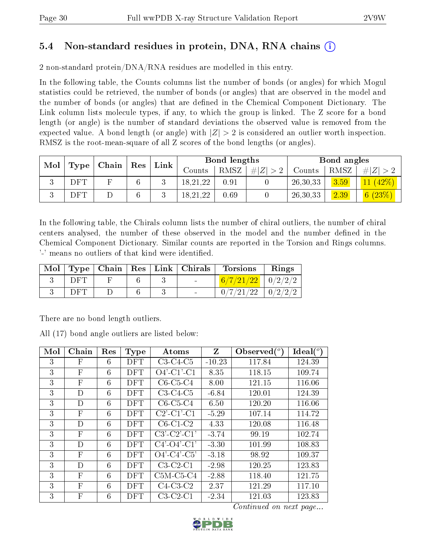### 5.4 Non-standard residues in protein, DNA, RNA chains (i)

2 non-standard protein/DNA/RNA residues are modelled in this entry.

In the following table, the Counts columns list the number of bonds (or angles) for which Mogul statistics could be retrieved, the number of bonds (or angles) that are observed in the model and the number of bonds (or angles) that are dened in the Chemical Component Dictionary. The Link column lists molecule types, if any, to which the group is linked. The Z score for a bond length (or angle) is the number of standard deviations the observed value is removed from the expected value. A bond length (or angle) with  $|Z| > 2$  is considered an outlier worth inspection. RMSZ is the root-mean-square of all Z scores of the bond lengths (or angles).

| Mol |      | Chain |     | $\mathbf{Link}$ |          | Bond lengths |        |          | Bond angles |           |
|-----|------|-------|-----|-----------------|----------|--------------|--------|----------|-------------|-----------|
|     | Type |       | Res |                 | Counts   | RMSZ         | Z<br># | Counts   | RMSZ        | H Z       |
|     | DFT  |       |     |                 | 18,21,22 | 0.91         |        | 26,30,33 | 3.59        |           |
|     | DFT  |       |     |                 | 18,21,22 | 0.69         |        | 26,30,33 | 2.39        | 6 $(23%)$ |

In the following table, the Chirals column lists the number of chiral outliers, the number of chiral centers analysed, the number of these observed in the model and the number defined in the Chemical Component Dictionary. Similar counts are reported in the Torsion and Rings columns. '-' means no outliers of that kind were identified.

|     |  |            | $\text{Mol}$   Type   Chain   Res   Link   Chirals   Torsions | Rings |
|-----|--|------------|---------------------------------------------------------------|-------|
| DFT |  | $\sim 100$ | $6/7/21/22$   $0/2/2/2$                                       |       |
| DFT |  |            | $0/7/21/22$   $0/2/2/2$                                       |       |

There are no bond length outliers.

All (17) bond angle outliers are listed below:

| Mol | Chain                     | Res | <b>Type</b> | Atoms                                    | Z        | Observed $(°)$ | $\text{Ideal}({}^o)$ |
|-----|---------------------------|-----|-------------|------------------------------------------|----------|----------------|----------------------|
| 3   | F                         | 6   | DFT         | $C3-C4-C5$                               | $-10.23$ | 117.84         | 124.39               |
| 3   | $\mathbf F$               | 6   | <b>DFT</b>  | $O4'$ -C1'-C1                            | 8.35     | 118.15         | 109.74               |
| 3   | $\mathbf{F}$              | 6   | <b>DFT</b>  | $C6-C5-C4$                               | 8.00     | 121.15         | 116.06               |
| 3   | D                         | 6   | <b>DFT</b>  | $C3-C4-C5$                               | $-6.84$  | 120.01         | 124.39               |
| 3   | D                         | 6   | <b>DFT</b>  | $C6-C5-C4$                               | 6.50     | 120.20         | 116.06               |
| 3   | $\mathbf{F}$              | 6   | <b>DFT</b>  | $C2$ <sup>-</sup> $C1$ <sup>-</sup> $C1$ | $-5.29$  | 107.14         | 114.72               |
| 3   | D                         | 6   | <b>DFT</b>  | $C6-C1-C2$                               | 4.33     | 120.08         | 116.48               |
| 3   | $\mathbf{F}$              | 6   | <b>DFT</b>  | $C3'-C2'-C1'$                            | $-3.74$  | 99.19          | 102.74               |
| 3   | D                         | 6   | <b>DFT</b>  | $C4'$ - $O4'$ - $C1'$                    | $-3.30$  | 101.99         | 108.83               |
| 3   | $\mathbf{F}$              | 6   | DFT         | $O4'$ -C4'-C5'                           | $-3.18$  | 98.92          | 109.37               |
| 3   | D                         | 6   | <b>DFT</b>  | $C3-C2-C1$                               | $-2.98$  | 120.25         | 123.83               |
| 3   | $\mathbf{F}$              | 6   | <b>DFT</b>  | $C5M-C5-C4$                              | $-2.88$  | 118.40         | 121.75               |
| 3   | $\mathbf{F}$              | 6   | <b>DFT</b>  | $C4-C3-C2$                               | 2.37     | 121.29         | 117.10               |
| 3   | $\boldsymbol{\mathrm{F}}$ | 6   | <b>DFT</b>  | $C3-C2-C1$                               | $-2.34$  | 121.03         | 123.83               |

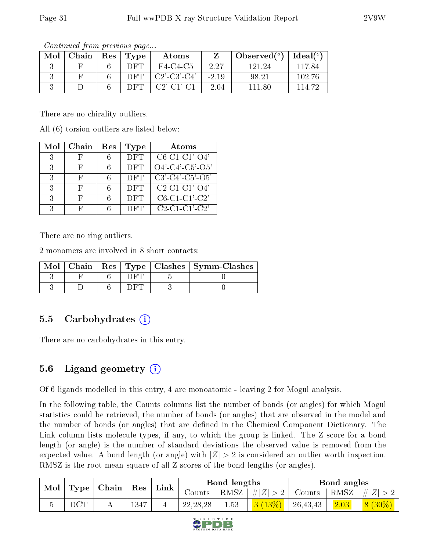| Mol | Chain | Res | Type | Atoms                 |         | Observed $(°)$ | Ideal $(^\circ)$ |
|-----|-------|-----|------|-----------------------|---------|----------------|------------------|
|     |       |     | DET  | F4-C4-C5              | 2.27    | 121 24         | 117.84           |
|     |       |     | DET. | $C2'$ - $C3'$ - $C4'$ | $-2.19$ | 98.21          | 102.76           |
|     |       |     | DET. | $C2'$ -C1'-C1         | $-2.04$ | 11.80          | 114-79           |

There are no chirality outliers.

All (6) torsion outliers are listed below:

| Mol | Chain | Res | Type       | Atoms               |
|-----|-------|-----|------------|---------------------|
| 3   |       |     | DFT        | $C6-C1-C1'$ - $O4'$ |
| 3   | Η,    | 6   | DFT        | $O4'$ -C4'-C5'-O5'  |
| २   | Η,    |     | <b>DFT</b> | $C3'-C4'-C5'-O5'$   |
| 3   | H     |     | DFT        | $C2-C1-C1'$ -O4'    |
| 3   |       | 6   | <b>DFT</b> | $C6-C1-C1-C2$       |
| 2   |       |     | DFT        | $C2-C1-C1-C2$       |

There are no ring outliers.

2 monomers are involved in 8 short contacts:

| Mol |  |  | $\vert$ Chain $\vert$ Res $\vert$ Type $\vert$ Clashes $\vert$ Symm-Clashes |
|-----|--|--|-----------------------------------------------------------------------------|
|     |  |  |                                                                             |
|     |  |  |                                                                             |

### 5.5 Carbohydrates (i)

There are no carbohydrates in this entry.

## 5.6 Ligand geometry  $(i)$

Of 6 ligands modelled in this entry, 4 are monoatomic - leaving 2 for Mogul analysis.

In the following table, the Counts columns list the number of bonds (or angles) for which Mogul statistics could be retrieved, the number of bonds (or angles) that are observed in the model and the number of bonds (or angles) that are defined in the Chemical Component Dictionary. The Link column lists molecule types, if any, to which the group is linked. The Z score for a bond length (or angle) is the number of standard deviations the observed value is removed from the expected value. A bond length (or angle) with  $|Z| > 2$  is considered an outlier worth inspection. RMSZ is the root-mean-square of all Z scores of the bond lengths (or angles).

| Mol | Type | $\mid$ Chain $\mid$ | $\operatorname{Res}$ | Link |            | Bond lengths |           | Bond angles |      |           |
|-----|------|---------------------|----------------------|------|------------|--------------|-----------|-------------|------|-----------|
|     |      |                     |                      |      | Counts -   | RMSZ         | $\# Z >$  | Counts      | RMSZ | $\# Z >$  |
|     | DCT  | ∸∸                  | 1347                 |      | 22, 28, 28 | 1.53         | $3(13\%)$ | 26, 43, 43  | 2.03 | $8(30\%)$ |

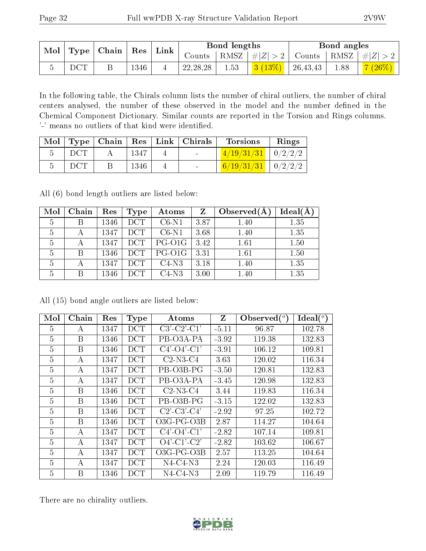| Mol |              |  |      | $\mid$ Type $\mid$ Chain $\mid$ | $\mid$ Res $\mid$  | $\perp$ Link $\parallel$ |                    | Bond lengths |      |                                     | Bond angles |  |
|-----|--------------|--|------|---------------------------------|--------------------|--------------------------|--------------------|--------------|------|-------------------------------------|-------------|--|
|     |              |  |      |                                 | $\mathsf{~Jounds}$ |                          | RMSZ   $\# Z  > 2$ |              |      | $\perp$ Counts   RMSZ   $\# Z  > 2$ |             |  |
|     | $_{\rm DCT}$ |  | 1346 |                                 | 22, 28, 28         | 1.53                     | 3(13%)             | 26,43,43     | 1.88 | 7(26%)                              |             |  |

In the following table, the Chirals column lists the number of chiral outliers, the number of chiral centers analysed, the number of these observed in the model and the number defined in the Chemical Component Dictionary. Similar counts are reported in the Torsion and Rings columns. '-' means no outliers of that kind were identified.

| Mol |     | Type   Chain |      | $Res$   Link   Chirals   | <b>Torsions</b>        | Rings   |
|-----|-----|--------------|------|--------------------------|------------------------|---------|
|     | DCT |              | 1347 | <b>Contract Contract</b> | $1/19/31/31$ $0/2/2/2$ |         |
|     | DCT |              | 1346 | $\sim$                   | 6/19/31/31             | 0/2/2/2 |

All (6) bond length outliers are listed below:

| Mol | Chain | Res  | Type       | Atoms   | Z    | Observed $(A)$ | $Ideal(\AA)$ |
|-----|-------|------|------------|---------|------|----------------|--------------|
| 5   | В     | 1346 | <b>DCT</b> | $C6-N1$ | 3.87 | 1.40           | 1.35         |
| 5   |       | 1347 | <b>DCT</b> | $C6-N1$ | 3.68 | 1.40           | 1.35         |
| 5   |       | 1347 | DCT        | PG-01G  | 3.42 | 1.61           | 1.50         |
| 5   | B     | 1346 | DCT        | PG-O1G  | 3.31 | 1.61           | 1.50         |
| 5   |       | 1347 | DCT        | $C4-N3$ | 3.18 | 1.40           | 1.35         |
| 5   | В     | 1346 | DCT        | $C4-N3$ | 3.00 | 1.40           | 1.35         |

All (15) bond angle outliers are listed below:

| Mol            | Chain | Res  | Type       | Atoms                 | Z       | Observed( | Ideal $(^{\circ}$ |
|----------------|-------|------|------------|-----------------------|---------|-----------|-------------------|
| 5              | А     | 1347 | DCT        | $C3'-C2'-C1'$         | $-5.11$ | 96.87     | 102.78            |
| 5              | B     | 1346 | DCT        | PB-03A-PA             | $-3.92$ | 119.38    | 132.83            |
| 5              | B     | 1346 | DCT        | $C4'$ - $O4'$ - $C1'$ | $-3.91$ | 106.12    | 109.81            |
| 5              | A     | 1347 | DCT        | $C2-N3-C4$            | 3.63    | 120.02    | 116.34            |
| 5              | А     | 1347 | DCT        | PB-03B-PG             | $-3.50$ | 120.81    | 132.83            |
| 5              | A     | 1347 | <b>DCT</b> | PB-03A-PA             | $-3.45$ | 120.98    | 132.83            |
| 5              | B     | 1346 | DCT        | $C2-N3-C4$            | 3.44    | 119.83    | 116.34            |
| 5              | B     | 1346 | DCT        | PB-03B-PG             | $-3.15$ | 122.02    | 132.83            |
| 5              | B     | 1346 | <b>DCT</b> | $C2'$ - $C3'$ - $C4'$ | $-2.92$ | 97.25     | 102.72            |
| 5              | B     | 1346 | DCT        | $O3G$ -PG- $O3B$      | 2.87    | 114.27    | 104.64            |
| 5              | А     | 1347 | DCT        | $C4'$ - $O4'$ - $C1'$ | $-2.82$ | 107.14    | 109.81            |
| $\overline{5}$ | А     | 1347 | <b>DCT</b> | $O4'$ -C1'-C2'        | $-2.82$ | 103.62    | 106.67            |
| 5              | А     | 1347 | DCT        | O3G-PG-O3B            | 2.57    | 113.25    | 104.64            |
| $\overline{5}$ | А     | 1347 | DCT        | $N4$ -C4-N3           | 2.24    | 120.03    | 116.49            |
| 5              | B     | 1346 | DCT        | $N4$ -C4-N3           | 2.09    | 119.79    | 116.49            |

There are no chirality outliers.

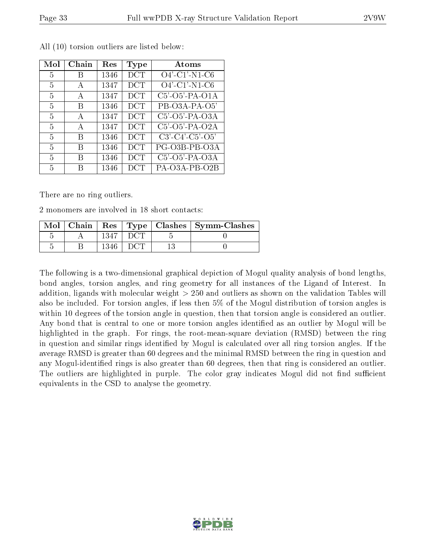| Mol | Chain        | Res  | Type       | Atoms                         |
|-----|--------------|------|------------|-------------------------------|
| 5   | R            | 1346 | DCT        | $O4'$ -C1'-N1-C6              |
| 5   | A            | 1347 | DCT        | $O4'$ -C1'-N1-C6              |
| 5   | A            | 1347 | <b>DCT</b> | $C5'$ -O5'-PA-O1A             |
| 5   | В            | 1346 | <b>DCT</b> | PB-O3A-PA-O5'                 |
| 5   | $\mathbf{A}$ | 1347 | <b>DCT</b> | $C5'$ -O5'-PA-O3A             |
| 5   | A            | 1347 | <b>DCT</b> | C5'-O5'-PA-O2A                |
| 5   | В            | 1346 | <b>DCT</b> | $C3'$ - $C4'$ - $C5'$ - $O5'$ |
| 5   | В            | 1346 | <b>DCT</b> | PG-O3B-PB-O3A                 |
| 5   | R            | 1346 | <b>DCT</b> | C5'-O5'-PA-O3A                |
| 5   | R            | 1346 | <b>DCT</b> | PA-O3A-PB-O2B                 |

All (10) torsion outliers are listed below:

There are no ring outliers.

2 monomers are involved in 18 short contacts:

| Mol |  |  | Chain   Res   Type   Clashes   Symm-Clashes |
|-----|--|--|---------------------------------------------|
|     |  |  |                                             |
|     |  |  |                                             |

The following is a two-dimensional graphical depiction of Mogul quality analysis of bond lengths, bond angles, torsion angles, and ring geometry for all instances of the Ligand of Interest. In addition, ligands with molecular weight > 250 and outliers as shown on the validation Tables will also be included. For torsion angles, if less then 5% of the Mogul distribution of torsion angles is within 10 degrees of the torsion angle in question, then that torsion angle is considered an outlier. Any bond that is central to one or more torsion angles identified as an outlier by Mogul will be highlighted in the graph. For rings, the root-mean-square deviation (RMSD) between the ring in question and similar rings identified by Mogul is calculated over all ring torsion angles. If the average RMSD is greater than 60 degrees and the minimal RMSD between the ring in question and any Mogul-identified rings is also greater than 60 degrees, then that ring is considered an outlier. The outliers are highlighted in purple. The color gray indicates Mogul did not find sufficient equivalents in the CSD to analyse the geometry.

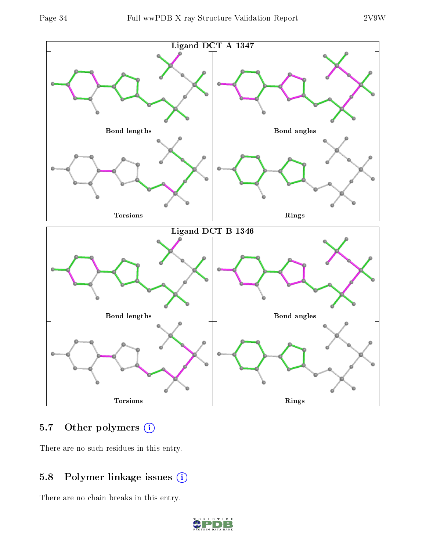

### 5.7 [O](https://www.wwpdb.org/validation/2017/XrayValidationReportHelp#nonstandard_residues_and_ligands)ther polymers (i)

There are no such residues in this entry.

## 5.8 Polymer linkage issues (i)

There are no chain breaks in this entry.

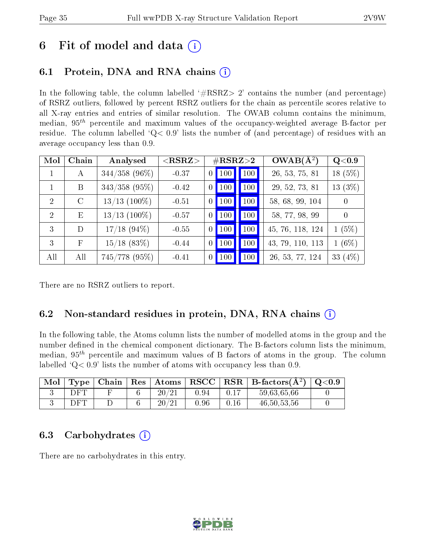# 6 Fit of model and data  $\left( \cdot \right)$

## 6.1 Protein, DNA and RNA chains (i)

In the following table, the column labelled  $#RSRZ> 2'$  contains the number (and percentage) of RSRZ outliers, followed by percent RSRZ outliers for the chain as percentile scores relative to all X-ray entries and entries of similar resolution. The OWAB column contains the minimum, median,  $95<sup>th</sup>$  percentile and maximum values of the occupancy-weighted average B-factor per residue. The column labelled  $Q< 0.9$  lists the number of (and percentage) of residues with an average occupancy less than 0.9.

| Mol           | Chain         | Analysed        | $<$ RSRZ $>$ | $\#\text{RSRZ}\text{>2}$ |                     |             | $OWAB(A^2)$      | Q <sub>0.9</sub> |
|---------------|---------------|-----------------|--------------|--------------------------|---------------------|-------------|------------------|------------------|
|               | А             | $344/358$ (96%) | $-0.37$      |                          | $0$   100           | $\vert$ 100 | 26, 53, 75, 81   | 18 (5%)          |
|               | B             | $343/358$ (95%) | $-0.42$      |                          | $0$   100           | $\vert$ 100 | 29, 52, 73, 81   | 13 $(3\%)$       |
| $\mathcal{D}$ | $\mathcal{C}$ | $13/13$ (100%)  | $-0.51$      |                          | $0$   100           | 100         | 58, 68, 99, 104  | $\overline{0}$   |
| $\mathcal{D}$ | E             | $13/13$ (100%)  | $-0.57$      | 0 <sup>1</sup>           | $\vert$ 100 $\vert$ | 100         | 58, 77, 98, 99   | $\theta$         |
| 3             | D             | $17/18$ (94%)   | $-0.55$      |                          | $0$   100           | 100         | 45, 76, 118, 124 | 1(5%)            |
| $\mathcal{E}$ | F             | $15/18$ (83%)   | $-0.44$      |                          | $0$   100           | 100         | 43, 79, 110, 113 | $1(6\%)$         |
| All           | All           | 745/778 (95%)   | $-0.41$      |                          | $0$ 100             | 100         | 26, 53, 77, 124  | 33 (4%)          |

There are no RSRZ outliers to report.

## 6.2 Non-standard residues in protein, DNA, RNA chains  $(i)$

In the following table, the Atoms column lists the number of modelled atoms in the group and the number defined in the chemical component dictionary. The B-factors column lists the minimum, median,  $95<sup>th</sup>$  percentile and maximum values of B factors of atoms in the group. The column labelled  $Q < 0.9$ ' lists the number of atoms with occupancy less than 0.9.

| Mol | $T$ vpe | ∣ Chain∣ | $\mid$ Res $\mid$ Atoms $\mid$ | $\vert$ RSCC $\vert$ |      | $RSR \mid$ B-factors( $\AA^2$ ) | Q <sub>0.9</sub> |
|-----|---------|----------|--------------------------------|----------------------|------|---------------------------------|------------------|
|     | DFT     |          | $20\,\mathrm{/}21$             | 0.94                 |      | 59,63,65,66                     |                  |
|     | DFT     |          | 20/2                           | 0.96                 | 0.16 | 46, 50, 53, 56                  |                  |

### 6.3 Carbohydrates (i)

There are no carbohydrates in this entry.

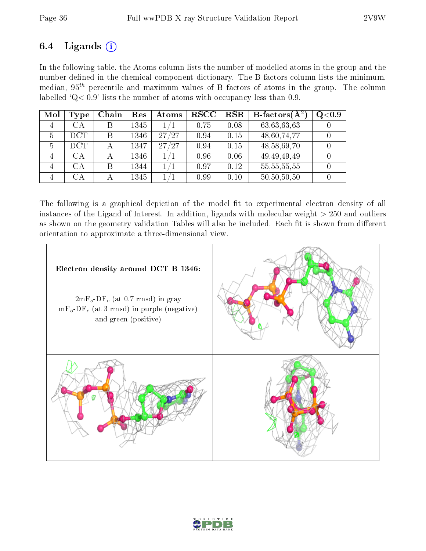## 6.4 Ligands  $(i)$

In the following table, the Atoms column lists the number of modelled atoms in the group and the number defined in the chemical component dictionary. The B-factors column lists the minimum, median,  $95<sup>th</sup>$  percentile and maximum values of B factors of atoms in the group. The column labelled  $Q < 0.9$ ' lists the number of atoms with occupancy less than 0.9.

| Mol            | <b>Type</b> | Chain | Res  | Atoms     | $_{\rm RSCC}$ | $_{\rm RSR}$ | <b>B</b> -factors( $\overline{A^2}$ ) | Q <sub>0.9</sub> |
|----------------|-------------|-------|------|-----------|---------------|--------------|---------------------------------------|------------------|
| $\overline{4}$ | СA          |       | 1345 | $1\,/\!1$ | 0.75          | 0.08         | 63,63,63,63                           |                  |
| 5              | <b>DCT</b>  |       | 1346 | 27/27     | 0.94          | 0.15         | 48,60,74,77                           |                  |
| 5              | <b>DCT</b>  |       | 1347 | 27/27     | 0.94          | 0.15         | 48,58,69,70                           |                  |
|                | CА          |       | 1346 | 1/1       | 0.96          | 0.06         | 49, 49, 49, 49                        |                  |
|                | CА          | В     | 1344 | $1\,/\!1$ | 0.97          | 0.12         | 55, 55, 55, 55                        |                  |
|                | CА          |       | 1345 | 1/1       | 0.99          | 0.10         | 50,50,50,50                           |                  |

The following is a graphical depiction of the model fit to experimental electron density of all instances of the Ligand of Interest. In addition, ligands with molecular weight  $> 250$  and outliers as shown on the geometry validation Tables will also be included. Each fit is shown from different orientation to approximate a three-dimensional view.